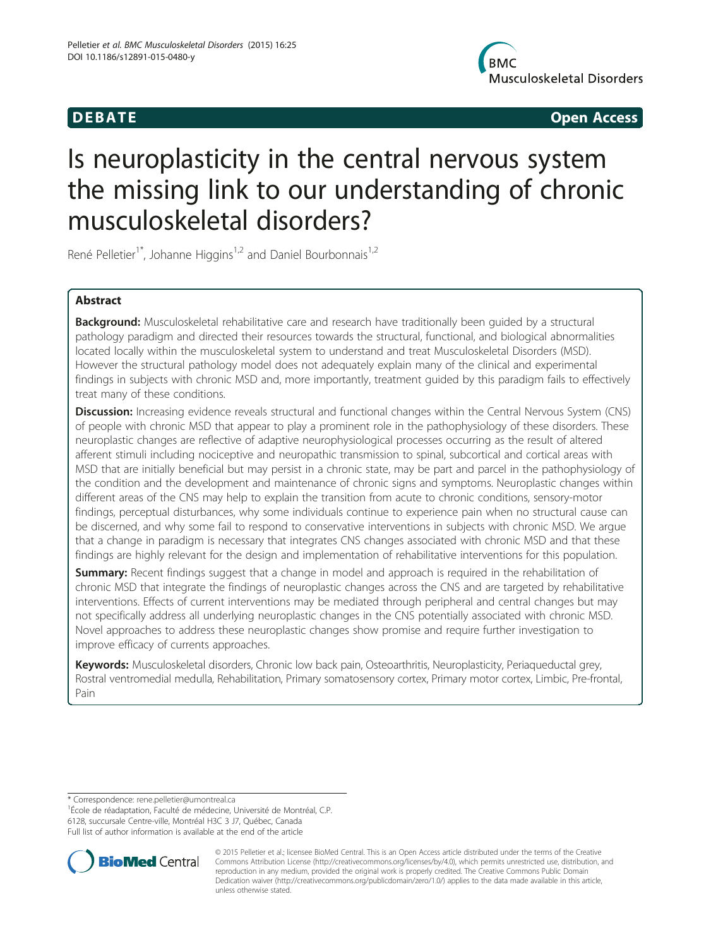

**DEBATE CONSIDERENT CONSIDERED ACCESS** 

# Is neuroplasticity in the central nervous system the missing link to our understanding of chronic musculoskeletal disorders?

René Pelletier<sup>1\*</sup>, Johanne Higgins<sup>1,2</sup> and Daniel Bourbonnais<sup>1,2</sup>

# Abstract

Background: Musculoskeletal rehabilitative care and research have traditionally been guided by a structural pathology paradigm and directed their resources towards the structural, functional, and biological abnormalities located locally within the musculoskeletal system to understand and treat Musculoskeletal Disorders (MSD). However the structural pathology model does not adequately explain many of the clinical and experimental findings in subjects with chronic MSD and, more importantly, treatment guided by this paradigm fails to effectively treat many of these conditions.

Discussion: Increasing evidence reveals structural and functional changes within the Central Nervous System (CNS) of people with chronic MSD that appear to play a prominent role in the pathophysiology of these disorders. These neuroplastic changes are reflective of adaptive neurophysiological processes occurring as the result of altered afferent stimuli including nociceptive and neuropathic transmission to spinal, subcortical and cortical areas with MSD that are initially beneficial but may persist in a chronic state, may be part and parcel in the pathophysiology of the condition and the development and maintenance of chronic signs and symptoms. Neuroplastic changes within different areas of the CNS may help to explain the transition from acute to chronic conditions, sensory-motor findings, perceptual disturbances, why some individuals continue to experience pain when no structural cause can be discerned, and why some fail to respond to conservative interventions in subjects with chronic MSD. We argue that a change in paradigm is necessary that integrates CNS changes associated with chronic MSD and that these findings are highly relevant for the design and implementation of rehabilitative interventions for this population.

**Summary:** Recent findings suggest that a change in model and approach is required in the rehabilitation of chronic MSD that integrate the findings of neuroplastic changes across the CNS and are targeted by rehabilitative interventions. Effects of current interventions may be mediated through peripheral and central changes but may not specifically address all underlying neuroplastic changes in the CNS potentially associated with chronic MSD. Novel approaches to address these neuroplastic changes show promise and require further investigation to improve efficacy of currents approaches.

Keywords: Musculoskeletal disorders, Chronic low back pain, Osteoarthritis, Neuroplasticity, Periaqueductal grey, Rostral ventromedial medulla, Rehabilitation, Primary somatosensory cortex, Primary motor cortex, Limbic, Pre-frontal, Pain

\* Correspondence: [rene.pelletier@umontreal.ca](mailto:rene.pelletier@umontreal.ca) <sup>1</sup>

<sup>1</sup>École de réadaptation, Faculté de médecine, Université de Montréal, C.P. 6128, succursale Centre-ville, Montréal H3C 3 J7, Québec, Canada Full list of author information is available at the end of the article



© 2015 Pelletier et al.; licensee BioMed Central. This is an Open Access article distributed under the terms of the Creative Commons Attribution License [\(http://creativecommons.org/licenses/by/4.0\)](http://creativecommons.org/licenses/by/4.0), which permits unrestricted use, distribution, and reproduction in any medium, provided the original work is properly credited. The Creative Commons Public Domain Dedication waiver [\(http://creativecommons.org/publicdomain/zero/1.0/](http://creativecommons.org/publicdomain/zero/1.0/)) applies to the data made available in this article, unless otherwise stated.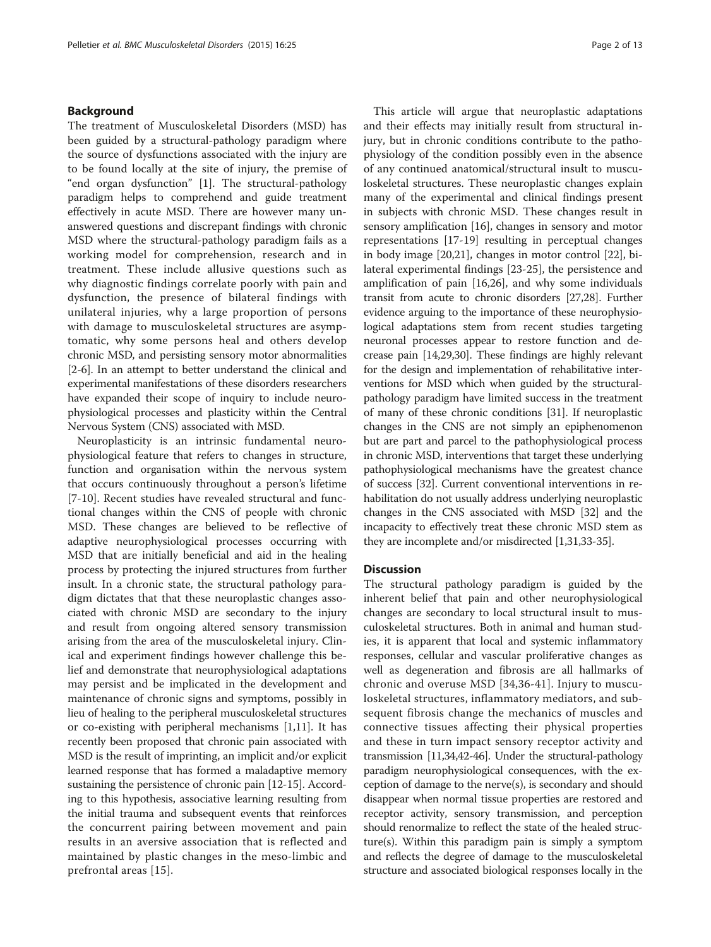### Background

The treatment of Musculoskeletal Disorders (MSD) has been guided by a structural-pathology paradigm where the source of dysfunctions associated with the injury are to be found locally at the site of injury, the premise of "end organ dysfunction" [[1\]](#page-8-0). The structural-pathology paradigm helps to comprehend and guide treatment effectively in acute MSD. There are however many unanswered questions and discrepant findings with chronic MSD where the structural-pathology paradigm fails as a working model for comprehension, research and in treatment. These include allusive questions such as why diagnostic findings correlate poorly with pain and dysfunction, the presence of bilateral findings with unilateral injuries, why a large proportion of persons with damage to musculoskeletal structures are asymptomatic, why some persons heal and others develop chronic MSD, and persisting sensory motor abnormalities [[2-6\]](#page-8-0). In an attempt to better understand the clinical and experimental manifestations of these disorders researchers have expanded their scope of inquiry to include neurophysiological processes and plasticity within the Central Nervous System (CNS) associated with MSD.

Neuroplasticity is an intrinsic fundamental neurophysiological feature that refers to changes in structure, function and organisation within the nervous system that occurs continuously throughout a person's lifetime [[7-10](#page-8-0)]. Recent studies have revealed structural and functional changes within the CNS of people with chronic MSD. These changes are believed to be reflective of adaptive neurophysiological processes occurring with MSD that are initially beneficial and aid in the healing process by protecting the injured structures from further insult. In a chronic state, the structural pathology paradigm dictates that that these neuroplastic changes associated with chronic MSD are secondary to the injury and result from ongoing altered sensory transmission arising from the area of the musculoskeletal injury. Clinical and experiment findings however challenge this belief and demonstrate that neurophysiological adaptations may persist and be implicated in the development and maintenance of chronic signs and symptoms, possibly in lieu of healing to the peripheral musculoskeletal structures or co-existing with peripheral mechanisms [[1,11](#page-8-0)]. It has recently been proposed that chronic pain associated with MSD is the result of imprinting, an implicit and/or explicit learned response that has formed a maladaptive memory sustaining the persistence of chronic pain [\[12](#page-8-0)-[15](#page-8-0)]. According to this hypothesis, associative learning resulting from the initial trauma and subsequent events that reinforces the concurrent pairing between movement and pain results in an aversive association that is reflected and maintained by plastic changes in the meso-limbic and prefrontal areas [\[15\]](#page-8-0).

This article will argue that neuroplastic adaptations and their effects may initially result from structural injury, but in chronic conditions contribute to the pathophysiology of the condition possibly even in the absence of any continued anatomical/structural insult to musculoskeletal structures. These neuroplastic changes explain many of the experimental and clinical findings present in subjects with chronic MSD. These changes result in sensory amplification [[16\]](#page-8-0), changes in sensory and motor representations [\[17-19](#page-8-0)] resulting in perceptual changes in body image [[20,21\]](#page-8-0), changes in motor control [\[22\]](#page-8-0), bilateral experimental findings [[23-25](#page-8-0)], the persistence and amplification of pain [[16](#page-8-0),[26](#page-8-0)], and why some individuals transit from acute to chronic disorders [\[27,28\]](#page-8-0). Further evidence arguing to the importance of these neurophysiological adaptations stem from recent studies targeting neuronal processes appear to restore function and decrease pain [\[14,29,30](#page-8-0)]. These findings are highly relevant for the design and implementation of rehabilitative interventions for MSD which when guided by the structuralpathology paradigm have limited success in the treatment of many of these chronic conditions [\[31\]](#page-8-0). If neuroplastic changes in the CNS are not simply an epiphenomenon but are part and parcel to the pathophysiological process in chronic MSD, interventions that target these underlying pathophysiological mechanisms have the greatest chance of success [[32](#page-8-0)]. Current conventional interventions in rehabilitation do not usually address underlying neuroplastic changes in the CNS associated with MSD [\[32](#page-8-0)] and the incapacity to effectively treat these chronic MSD stem as they are incomplete and/or misdirected [\[1,31,33](#page-8-0)-[35](#page-8-0)].

# **Discussion**

The structural pathology paradigm is guided by the inherent belief that pain and other neurophysiological changes are secondary to local structural insult to musculoskeletal structures. Both in animal and human studies, it is apparent that local and systemic inflammatory responses, cellular and vascular proliferative changes as well as degeneration and fibrosis are all hallmarks of chronic and overuse MSD [[34,36](#page-8-0)[-41](#page-9-0)]. Injury to musculoskeletal structures, inflammatory mediators, and subsequent fibrosis change the mechanics of muscles and connective tissues affecting their physical properties and these in turn impact sensory receptor activity and transmission [\[11,34,](#page-8-0)[42](#page-9-0)-[46\]](#page-9-0). Under the structural-pathology paradigm neurophysiological consequences, with the exception of damage to the nerve(s), is secondary and should disappear when normal tissue properties are restored and receptor activity, sensory transmission, and perception should renormalize to reflect the state of the healed structure(s). Within this paradigm pain is simply a symptom and reflects the degree of damage to the musculoskeletal structure and associated biological responses locally in the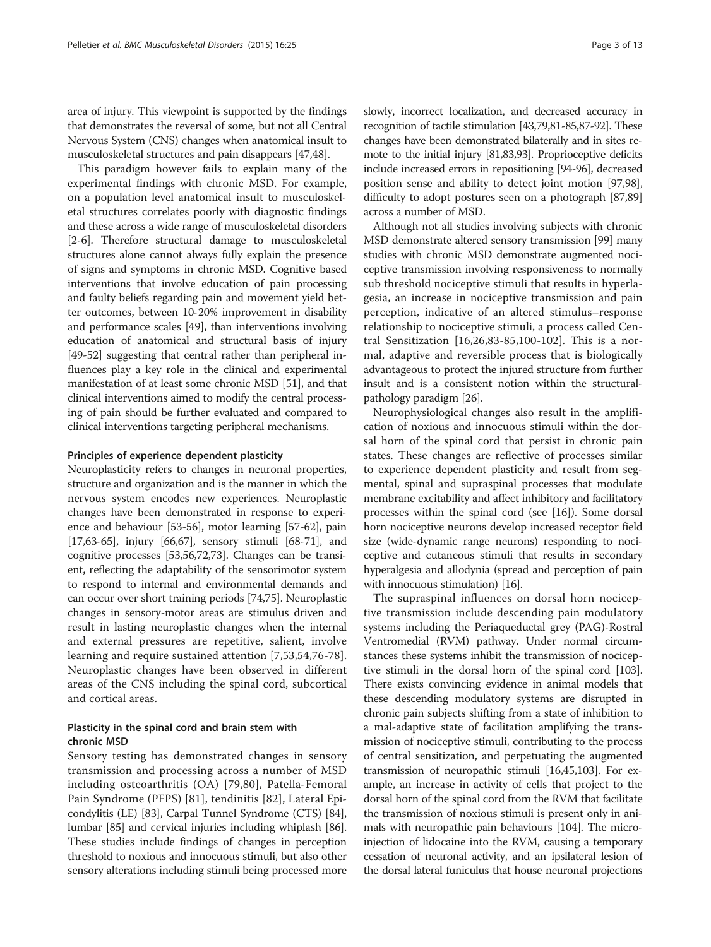area of injury. This viewpoint is supported by the findings that demonstrates the reversal of some, but not all Central Nervous System (CNS) changes when anatomical insult to musculoskeletal structures and pain disappears [\[47,48](#page-9-0)].

This paradigm however fails to explain many of the experimental findings with chronic MSD. For example, on a population level anatomical insult to musculoskeletal structures correlates poorly with diagnostic findings and these across a wide range of musculoskeletal disorders [[2-6\]](#page-8-0). Therefore structural damage to musculoskeletal structures alone cannot always fully explain the presence of signs and symptoms in chronic MSD. Cognitive based interventions that involve education of pain processing and faulty beliefs regarding pain and movement yield better outcomes, between 10-20% improvement in disability and performance scales [\[49\]](#page-9-0), than interventions involving education of anatomical and structural basis of injury [[49](#page-9-0)-[52\]](#page-9-0) suggesting that central rather than peripheral influences play a key role in the clinical and experimental manifestation of at least some chronic MSD [[51](#page-9-0)], and that clinical interventions aimed to modify the central processing of pain should be further evaluated and compared to clinical interventions targeting peripheral mechanisms.

### Principles of experience dependent plasticity

Neuroplasticity refers to changes in neuronal properties, structure and organization and is the manner in which the nervous system encodes new experiences. Neuroplastic changes have been demonstrated in response to experience and behaviour [\[53-56\]](#page-9-0), motor learning [[57-62\]](#page-9-0), pain [[17](#page-8-0)[,63](#page-9-0)-[65](#page-9-0)], injury [\[66,67\]](#page-9-0), sensory stimuli [\[68-71\]](#page-9-0), and cognitive processes [\[53,56,72,73](#page-9-0)]. Changes can be transient, reflecting the adaptability of the sensorimotor system to respond to internal and environmental demands and can occur over short training periods [\[74,75\]](#page-9-0). Neuroplastic changes in sensory-motor areas are stimulus driven and result in lasting neuroplastic changes when the internal and external pressures are repetitive, salient, involve learning and require sustained attention [[7,](#page-8-0)[53,54,76-78](#page-9-0)]. Neuroplastic changes have been observed in different areas of the CNS including the spinal cord, subcortical and cortical areas.

# Plasticity in the spinal cord and brain stem with chronic MSD

Sensory testing has demonstrated changes in sensory transmission and processing across a number of MSD including osteoarthritis (OA) [[79](#page-9-0),[80\]](#page-9-0), Patella-Femoral Pain Syndrome (PFPS) [\[81](#page-9-0)], tendinitis [[82](#page-9-0)], Lateral Epicondylitis (LE) [\[83](#page-9-0)], Carpal Tunnel Syndrome (CTS) [[84](#page-9-0)], lumbar [[85\]](#page-9-0) and cervical injuries including whiplash [[86](#page-9-0)]. These studies include findings of changes in perception threshold to noxious and innocuous stimuli, but also other sensory alterations including stimuli being processed more

slowly, incorrect localization, and decreased accuracy in recognition of tactile stimulation [\[43,79,81](#page-9-0)-[85](#page-9-0)[,87-92](#page-10-0)]. These changes have been demonstrated bilaterally and in sites remote to the initial injury [\[81,83,](#page-9-0)[93](#page-10-0)]. Proprioceptive deficits include increased errors in repositioning [[94](#page-10-0)-[96](#page-10-0)], decreased position sense and ability to detect joint motion [\[97,98](#page-10-0)], difficulty to adopt postures seen on a photograph [\[87,89](#page-10-0)] across a number of MSD.

Although not all studies involving subjects with chronic MSD demonstrate altered sensory transmission [[99\]](#page-10-0) many studies with chronic MSD demonstrate augmented nociceptive transmission involving responsiveness to normally sub threshold nociceptive stimuli that results in hyperlagesia, an increase in nociceptive transmission and pain perception, indicative of an altered stimulus–response relationship to nociceptive stimuli, a process called Central Sensitization [[16,26](#page-8-0),[83-85](#page-9-0)[,100-102](#page-10-0)]. This is a normal, adaptive and reversible process that is biologically advantageous to protect the injured structure from further insult and is a consistent notion within the structuralpathology paradigm [[26\]](#page-8-0).

Neurophysiological changes also result in the amplification of noxious and innocuous stimuli within the dorsal horn of the spinal cord that persist in chronic pain states. These changes are reflective of processes similar to experience dependent plasticity and result from segmental, spinal and supraspinal processes that modulate membrane excitability and affect inhibitory and facilitatory processes within the spinal cord (see [[16](#page-8-0)]). Some dorsal horn nociceptive neurons develop increased receptor field size (wide-dynamic range neurons) responding to nociceptive and cutaneous stimuli that results in secondary hyperalgesia and allodynia (spread and perception of pain with innocuous stimulation) [\[16\]](#page-8-0).

The supraspinal influences on dorsal horn nociceptive transmission include descending pain modulatory systems including the Periaqueductal grey (PAG)-Rostral Ventromedial (RVM) pathway. Under normal circumstances these systems inhibit the transmission of nociceptive stimuli in the dorsal horn of the spinal cord [[103](#page-10-0)]. There exists convincing evidence in animal models that these descending modulatory systems are disrupted in chronic pain subjects shifting from a state of inhibition to a mal-adaptive state of facilitation amplifying the transmission of nociceptive stimuli, contributing to the process of central sensitization, and perpetuating the augmented transmission of neuropathic stimuli [\[16,](#page-8-0)[45](#page-9-0),[103](#page-10-0)]. For example, an increase in activity of cells that project to the dorsal horn of the spinal cord from the RVM that facilitate the transmission of noxious stimuli is present only in animals with neuropathic pain behaviours [\[104\]](#page-10-0). The microinjection of lidocaine into the RVM, causing a temporary cessation of neuronal activity, and an ipsilateral lesion of the dorsal lateral funiculus that house neuronal projections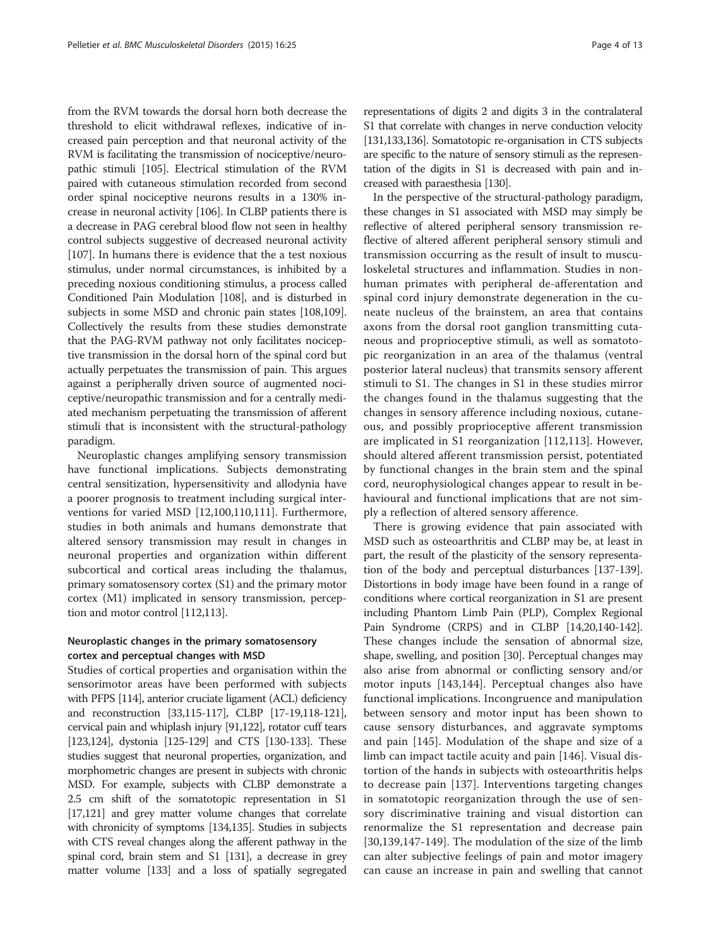from the RVM towards the dorsal horn both decrease the threshold to elicit withdrawal reflexes, indicative of increased pain perception and that neuronal activity of the RVM is facilitating the transmission of nociceptive/neuropathic stimuli [[105](#page-10-0)]. Electrical stimulation of the RVM paired with cutaneous stimulation recorded from second order spinal nociceptive neurons results in a 130% increase in neuronal activity [\[106\]](#page-10-0). In CLBP patients there is a decrease in PAG cerebral blood flow not seen in healthy control subjects suggestive of decreased neuronal activity [[107](#page-10-0)]. In humans there is evidence that the a test noxious stimulus, under normal circumstances, is inhibited by a preceding noxious conditioning stimulus, a process called Conditioned Pain Modulation [\[108\]](#page-10-0), and is disturbed in subjects in some MSD and chronic pain states [\[108,109](#page-10-0)]. Collectively the results from these studies demonstrate that the PAG-RVM pathway not only facilitates nociceptive transmission in the dorsal horn of the spinal cord but actually perpetuates the transmission of pain. This argues against a peripherally driven source of augmented nociceptive/neuropathic transmission and for a centrally mediated mechanism perpetuating the transmission of afferent stimuli that is inconsistent with the structural-pathology paradigm.

Neuroplastic changes amplifying sensory transmission have functional implications. Subjects demonstrating central sensitization, hypersensitivity and allodynia have a poorer prognosis to treatment including surgical interventions for varied MSD [[12,](#page-8-0)[100,110,111](#page-10-0)]. Furthermore, studies in both animals and humans demonstrate that altered sensory transmission may result in changes in neuronal properties and organization within different subcortical and cortical areas including the thalamus, primary somatosensory cortex (S1) and the primary motor cortex (M1) implicated in sensory transmission, perception and motor control [[112,113\]](#page-10-0).

# Neuroplastic changes in the primary somatosensory cortex and perceptual changes with MSD

Studies of cortical properties and organisation within the sensorimotor areas have been performed with subjects with PFPS [\[114\]](#page-10-0), anterior cruciate ligament (ACL) deficiency and reconstruction [\[33,](#page-8-0)[115-117\]](#page-10-0), CLBP [\[17-19,](#page-8-0)[118-121](#page-10-0)], cervical pain and whiplash injury [[91,122](#page-10-0)], rotator cuff tears [[123,124\]](#page-10-0), dystonia [\[125-129\]](#page-10-0) and CTS [\[130](#page-10-0)-[133\]](#page-10-0). These studies suggest that neuronal properties, organization, and morphometric changes are present in subjects with chronic MSD. For example, subjects with CLBP demonstrate a 2.5 cm shift of the somatotopic representation in S1 [[17](#page-8-0)[,121](#page-10-0)] and grey matter volume changes that correlate with chronicity of symptoms [[134,135](#page-10-0)]. Studies in subjects with CTS reveal changes along the afferent pathway in the spinal cord, brain stem and S1 [\[131](#page-10-0)], a decrease in grey matter volume [\[133](#page-10-0)] and a loss of spatially segregated

representations of digits 2 and digits 3 in the contralateral S1 that correlate with changes in nerve conduction velocity [[131,133](#page-10-0)[,136](#page-11-0)]. Somatotopic re-organisation in CTS subjects are specific to the nature of sensory stimuli as the representation of the digits in S1 is decreased with pain and increased with paraesthesia [\[130](#page-10-0)].

In the perspective of the structural-pathology paradigm, these changes in S1 associated with MSD may simply be reflective of altered peripheral sensory transmission reflective of altered afferent peripheral sensory stimuli and transmission occurring as the result of insult to musculoskeletal structures and inflammation. Studies in nonhuman primates with peripheral de-afferentation and spinal cord injury demonstrate degeneration in the cuneate nucleus of the brainstem, an area that contains axons from the dorsal root ganglion transmitting cutaneous and proprioceptive stimuli, as well as somatotopic reorganization in an area of the thalamus (ventral posterior lateral nucleus) that transmits sensory afferent stimuli to S1. The changes in S1 in these studies mirror the changes found in the thalamus suggesting that the changes in sensory afference including noxious, cutaneous, and possibly proprioceptive afferent transmission are implicated in S1 reorganization [[112,113](#page-10-0)]. However, should altered afferent transmission persist, potentiated by functional changes in the brain stem and the spinal cord, neurophysiological changes appear to result in behavioural and functional implications that are not simply a reflection of altered sensory afference.

There is growing evidence that pain associated with MSD such as osteoarthritis and CLBP may be, at least in part, the result of the plasticity of the sensory representation of the body and perceptual disturbances [\[137-139](#page-11-0)]. Distortions in body image have been found in a range of conditions where cortical reorganization in S1 are present including Phantom Limb Pain (PLP), Complex Regional Pain Syndrome (CRPS) and in CLBP [[14,20,](#page-8-0)[140-142](#page-11-0)]. These changes include the sensation of abnormal size, shape, swelling, and position [[30](#page-8-0)]. Perceptual changes may also arise from abnormal or conflicting sensory and/or motor inputs [\[143](#page-11-0),[144\]](#page-11-0). Perceptual changes also have functional implications. Incongruence and manipulation between sensory and motor input has been shown to cause sensory disturbances, and aggravate symptoms and pain [\[145](#page-11-0)]. Modulation of the shape and size of a limb can impact tactile acuity and pain [\[146](#page-11-0)]. Visual distortion of the hands in subjects with osteoarthritis helps to decrease pain [\[137](#page-11-0)]. Interventions targeting changes in somatotopic reorganization through the use of sensory discriminative training and visual distortion can renormalize the S1 representation and decrease pain [[30](#page-8-0)[,139,147-149](#page-11-0)]. The modulation of the size of the limb can alter subjective feelings of pain and motor imagery can cause an increase in pain and swelling that cannot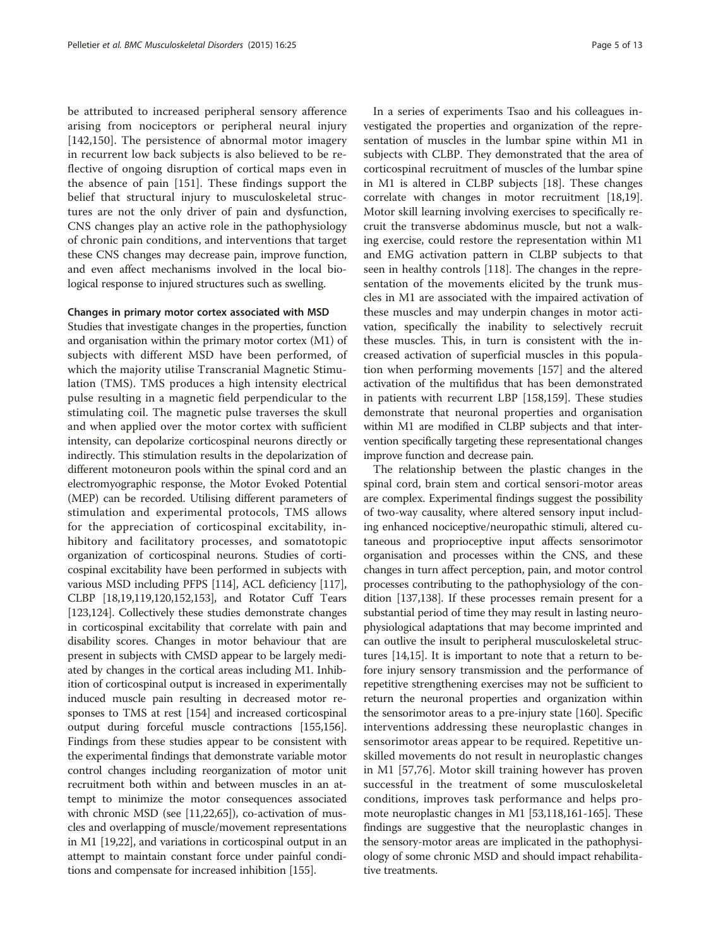be attributed to increased peripheral sensory afference arising from nociceptors or peripheral neural injury [[142,150](#page-11-0)]. The persistence of abnormal motor imagery in recurrent low back subjects is also believed to be reflective of ongoing disruption of cortical maps even in the absence of pain [\[151](#page-11-0)]. These findings support the belief that structural injury to musculoskeletal structures are not the only driver of pain and dysfunction, CNS changes play an active role in the pathophysiology of chronic pain conditions, and interventions that target these CNS changes may decrease pain, improve function, and even affect mechanisms involved in the local biological response to injured structures such as swelling.

#### Changes in primary motor cortex associated with MSD

Studies that investigate changes in the properties, function and organisation within the primary motor cortex (M1) of subjects with different MSD have been performed, of which the majority utilise Transcranial Magnetic Stimulation (TMS). TMS produces a high intensity electrical pulse resulting in a magnetic field perpendicular to the stimulating coil. The magnetic pulse traverses the skull and when applied over the motor cortex with sufficient intensity, can depolarize corticospinal neurons directly or indirectly. This stimulation results in the depolarization of different motoneuron pools within the spinal cord and an electromyographic response, the Motor Evoked Potential (MEP) can be recorded. Utilising different parameters of stimulation and experimental protocols, TMS allows for the appreciation of corticospinal excitability, inhibitory and facilitatory processes, and somatotopic organization of corticospinal neurons. Studies of corticospinal excitability have been performed in subjects with various MSD including PFPS [\[114\]](#page-10-0), ACL deficiency [[117](#page-10-0)], CLBP [\[18,19](#page-8-0)[,119,120](#page-10-0)[,152,153](#page-11-0)], and Rotator Cuff Tears [[123,124\]](#page-10-0). Collectively these studies demonstrate changes in corticospinal excitability that correlate with pain and disability scores. Changes in motor behaviour that are present in subjects with CMSD appear to be largely mediated by changes in the cortical areas including M1. Inhibition of corticospinal output is increased in experimentally induced muscle pain resulting in decreased motor responses to TMS at rest [[154](#page-11-0)] and increased corticospinal output during forceful muscle contractions [\[155,156](#page-11-0)]. Findings from these studies appear to be consistent with the experimental findings that demonstrate variable motor control changes including reorganization of motor unit recruitment both within and between muscles in an attempt to minimize the motor consequences associated with chronic MSD (see [\[11,22,](#page-8-0)[65](#page-9-0)]), co-activation of muscles and overlapping of muscle/movement representations in M1 [\[19,22\]](#page-8-0), and variations in corticospinal output in an attempt to maintain constant force under painful conditions and compensate for increased inhibition [\[155\]](#page-11-0).

In a series of experiments Tsao and his colleagues investigated the properties and organization of the representation of muscles in the lumbar spine within M1 in subjects with CLBP. They demonstrated that the area of corticospinal recruitment of muscles of the lumbar spine in M1 is altered in CLBP subjects [\[18\]](#page-8-0). These changes correlate with changes in motor recruitment [\[18,19](#page-8-0)]. Motor skill learning involving exercises to specifically recruit the transverse abdominus muscle, but not a walking exercise, could restore the representation within M1 and EMG activation pattern in CLBP subjects to that seen in healthy controls [[118\]](#page-10-0). The changes in the representation of the movements elicited by the trunk muscles in M1 are associated with the impaired activation of these muscles and may underpin changes in motor activation, specifically the inability to selectively recruit these muscles. This, in turn is consistent with the increased activation of superficial muscles in this population when performing movements [[157\]](#page-11-0) and the altered activation of the multifidus that has been demonstrated in patients with recurrent LBP [\[158,159\]](#page-11-0). These studies demonstrate that neuronal properties and organisation within M1 are modified in CLBP subjects and that intervention specifically targeting these representational changes improve function and decrease pain.

The relationship between the plastic changes in the spinal cord, brain stem and cortical sensori-motor areas are complex. Experimental findings suggest the possibility of two-way causality, where altered sensory input including enhanced nociceptive/neuropathic stimuli, altered cutaneous and proprioceptive input affects sensorimotor organisation and processes within the CNS, and these changes in turn affect perception, pain, and motor control processes contributing to the pathophysiology of the condition [[137,138](#page-11-0)]. If these processes remain present for a substantial period of time they may result in lasting neurophysiological adaptations that may become imprinted and can outlive the insult to peripheral musculoskeletal structures [\[14,15\]](#page-8-0). It is important to note that a return to before injury sensory transmission and the performance of repetitive strengthening exercises may not be sufficient to return the neuronal properties and organization within the sensorimotor areas to a pre-injury state [\[160\]](#page-11-0). Specific interventions addressing these neuroplastic changes in sensorimotor areas appear to be required. Repetitive unskilled movements do not result in neuroplastic changes in M1 [[57,76](#page-9-0)]. Motor skill training however has proven successful in the treatment of some musculoskeletal conditions, improves task performance and helps promote neuroplastic changes in M1 [\[53,](#page-9-0)[118](#page-10-0)[,161-165\]](#page-11-0). These findings are suggestive that the neuroplastic changes in the sensory-motor areas are implicated in the pathophysiology of some chronic MSD and should impact rehabilitative treatments.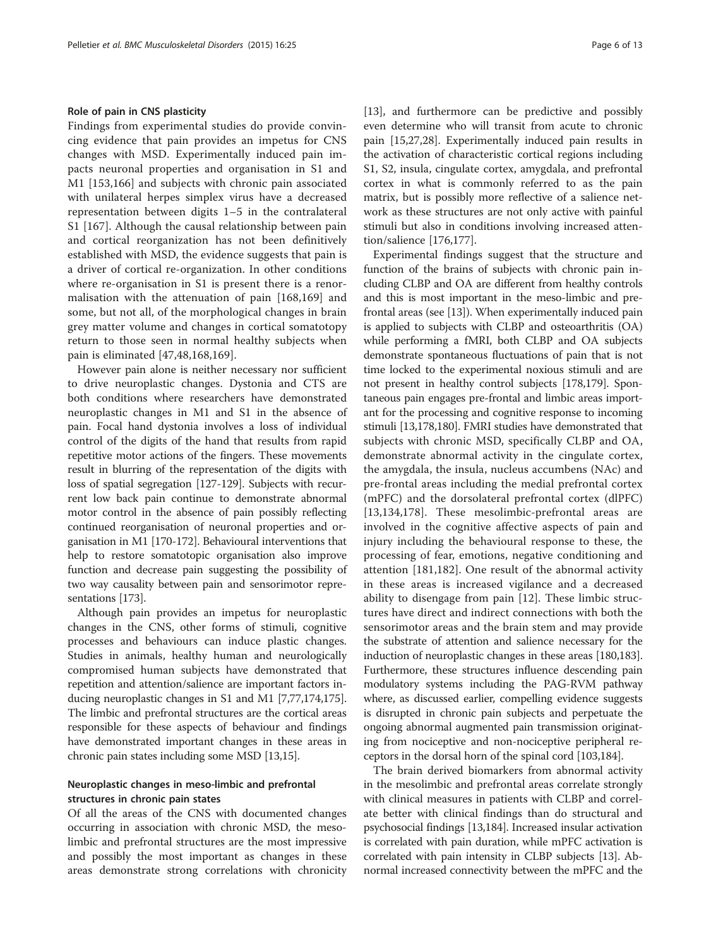#### Role of pain in CNS plasticity

Findings from experimental studies do provide convincing evidence that pain provides an impetus for CNS changes with MSD. Experimentally induced pain impacts neuronal properties and organisation in S1 and M1 [\[153](#page-11-0),[166\]](#page-11-0) and subjects with chronic pain associated with unilateral herpes simplex virus have a decreased representation between digits 1–5 in the contralateral S1 [[167\]](#page-11-0). Although the causal relationship between pain and cortical reorganization has not been definitively established with MSD, the evidence suggests that pain is a driver of cortical re-organization. In other conditions where re-organisation in S1 is present there is a renormalisation with the attenuation of pain [\[168](#page-11-0),[169\]](#page-11-0) and some, but not all, of the morphological changes in brain grey matter volume and changes in cortical somatotopy return to those seen in normal healthy subjects when pain is eliminated [[47,48](#page-9-0),[168,169\]](#page-11-0).

However pain alone is neither necessary nor sufficient to drive neuroplastic changes. Dystonia and CTS are both conditions where researchers have demonstrated neuroplastic changes in M1 and S1 in the absence of pain. Focal hand dystonia involves a loss of individual control of the digits of the hand that results from rapid repetitive motor actions of the fingers. These movements result in blurring of the representation of the digits with loss of spatial segregation [\[127-129\]](#page-10-0). Subjects with recurrent low back pain continue to demonstrate abnormal motor control in the absence of pain possibly reflecting continued reorganisation of neuronal properties and organisation in M1 [[170](#page-11-0)-[172](#page-11-0)]. Behavioural interventions that help to restore somatotopic organisation also improve function and decrease pain suggesting the possibility of two way causality between pain and sensorimotor representations [[173](#page-11-0)].

Although pain provides an impetus for neuroplastic changes in the CNS, other forms of stimuli, cognitive processes and behaviours can induce plastic changes. Studies in animals, healthy human and neurologically compromised human subjects have demonstrated that repetition and attention/salience are important factors inducing neuroplastic changes in S1 and M1 [[7,](#page-8-0)[77](#page-9-0)[,174,175](#page-11-0)]. The limbic and prefrontal structures are the cortical areas responsible for these aspects of behaviour and findings have demonstrated important changes in these areas in chronic pain states including some MSD [[13,15](#page-8-0)].

# Neuroplastic changes in meso-limbic and prefrontal structures in chronic pain states

Of all the areas of the CNS with documented changes occurring in association with chronic MSD, the mesolimbic and prefrontal structures are the most impressive and possibly the most important as changes in these areas demonstrate strong correlations with chronicity [[13\]](#page-8-0), and furthermore can be predictive and possibly even determine who will transit from acute to chronic pain [\[15,27,28\]](#page-8-0). Experimentally induced pain results in the activation of characteristic cortical regions including S1, S2, insula, cingulate cortex, amygdala, and prefrontal cortex in what is commonly referred to as the pain matrix, but is possibly more reflective of a salience network as these structures are not only active with painful stimuli but also in conditions involving increased attention/salience [[176,177](#page-11-0)].

Experimental findings suggest that the structure and function of the brains of subjects with chronic pain including CLBP and OA are different from healthy controls and this is most important in the meso-limbic and prefrontal areas (see [[13](#page-8-0)]). When experimentally induced pain is applied to subjects with CLBP and osteoarthritis (OA) while performing a fMRI, both CLBP and OA subjects demonstrate spontaneous fluctuations of pain that is not time locked to the experimental noxious stimuli and are not present in healthy control subjects [\[178,179](#page-11-0)]. Spontaneous pain engages pre-frontal and limbic areas important for the processing and cognitive response to incoming stimuli [[13,](#page-8-0)[178,180\]](#page-11-0). FMRI studies have demonstrated that subjects with chronic MSD, specifically CLBP and OA, demonstrate abnormal activity in the cingulate cortex, the amygdala, the insula, nucleus accumbens (NAc) and pre-frontal areas including the medial prefrontal cortex (mPFC) and the dorsolateral prefrontal cortex (dlPFC) [[13](#page-8-0)[,134](#page-10-0)[,178](#page-11-0)]. These mesolimbic-prefrontal areas are involved in the cognitive affective aspects of pain and injury including the behavioural response to these, the processing of fear, emotions, negative conditioning and attention [[181,182](#page-11-0)]. One result of the abnormal activity in these areas is increased vigilance and a decreased ability to disengage from pain [[12\]](#page-8-0). These limbic structures have direct and indirect connections with both the sensorimotor areas and the brain stem and may provide the substrate of attention and salience necessary for the induction of neuroplastic changes in these areas [\[180,183](#page-11-0)]. Furthermore, these structures influence descending pain modulatory systems including the PAG-RVM pathway where, as discussed earlier, compelling evidence suggests is disrupted in chronic pain subjects and perpetuate the ongoing abnormal augmented pain transmission originating from nociceptive and non-nociceptive peripheral receptors in the dorsal horn of the spinal cord [\[103,](#page-10-0)[184](#page-11-0)].

The brain derived biomarkers from abnormal activity in the mesolimbic and prefrontal areas correlate strongly with clinical measures in patients with CLBP and correlate better with clinical findings than do structural and psychosocial findings [\[13,](#page-8-0)[184](#page-11-0)]. Increased insular activation is correlated with pain duration, while mPFC activation is correlated with pain intensity in CLBP subjects [[13](#page-8-0)]. Abnormal increased connectivity between the mPFC and the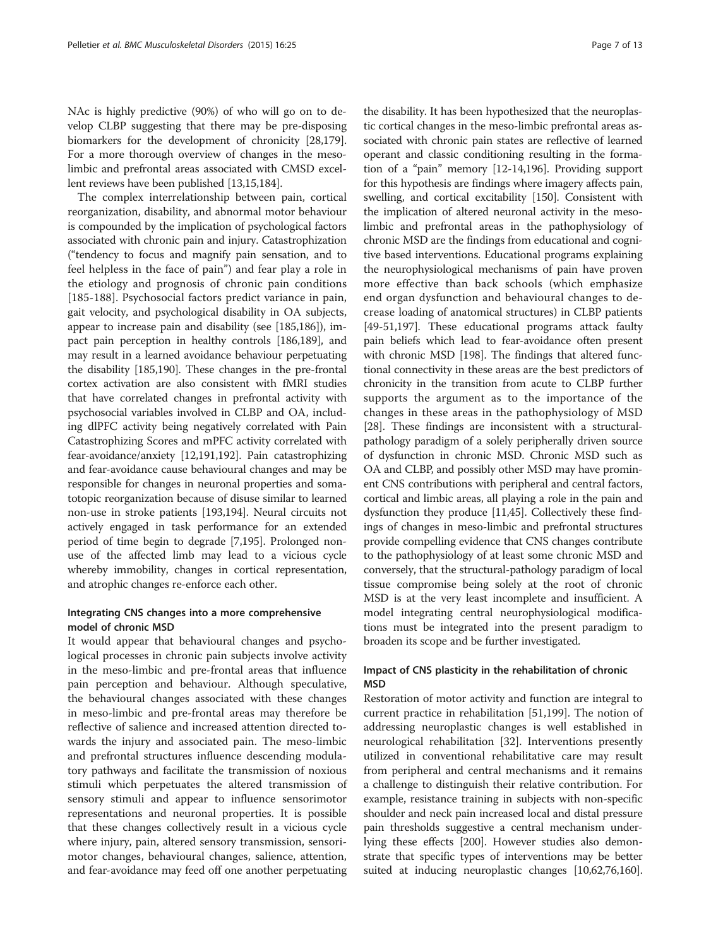NAc is highly predictive (90%) of who will go on to develop CLBP suggesting that there may be pre-disposing biomarkers for the development of chronicity [\[28,](#page-8-0)[179](#page-11-0)]. For a more thorough overview of changes in the mesolimbic and prefrontal areas associated with CMSD excellent reviews have been published [[13,15,](#page-8-0)[184](#page-11-0)].

The complex interrelationship between pain, cortical reorganization, disability, and abnormal motor behaviour is compounded by the implication of psychological factors associated with chronic pain and injury. Catastrophization ("tendency to focus and magnify pain sensation, and to feel helpless in the face of pain") and fear play a role in the etiology and prognosis of chronic pain conditions [[185-](#page-11-0)[188\]](#page-12-0). Psychosocial factors predict variance in pain, gait velocity, and psychological disability in OA subjects, appear to increase pain and disability (see [[185,186\]](#page-11-0)), impact pain perception in healthy controls [[186](#page-11-0)[,189\]](#page-12-0), and may result in a learned avoidance behaviour perpetuating the disability [[185](#page-11-0)[,190\]](#page-12-0). These changes in the pre-frontal cortex activation are also consistent with fMRI studies that have correlated changes in prefrontal activity with psychosocial variables involved in CLBP and OA, including dlPFC activity being negatively correlated with Pain Catastrophizing Scores and mPFC activity correlated with fear-avoidance/anxiety [\[12](#page-8-0)[,191,192](#page-12-0)]. Pain catastrophizing and fear-avoidance cause behavioural changes and may be responsible for changes in neuronal properties and somatotopic reorganization because of disuse similar to learned non-use in stroke patients [\[193,194](#page-12-0)]. Neural circuits not actively engaged in task performance for an extended period of time begin to degrade [\[7,](#page-8-0)[195](#page-12-0)]. Prolonged nonuse of the affected limb may lead to a vicious cycle whereby immobility, changes in cortical representation, and atrophic changes re-enforce each other.

# Integrating CNS changes into a more comprehensive model of chronic MSD

It would appear that behavioural changes and psychological processes in chronic pain subjects involve activity in the meso-limbic and pre-frontal areas that influence pain perception and behaviour. Although speculative, the behavioural changes associated with these changes in meso-limbic and pre-frontal areas may therefore be reflective of salience and increased attention directed towards the injury and associated pain. The meso-limbic and prefrontal structures influence descending modulatory pathways and facilitate the transmission of noxious stimuli which perpetuates the altered transmission of sensory stimuli and appear to influence sensorimotor representations and neuronal properties. It is possible that these changes collectively result in a vicious cycle where injury, pain, altered sensory transmission, sensorimotor changes, behavioural changes, salience, attention, and fear-avoidance may feed off one another perpetuating

the disability. It has been hypothesized that the neuroplastic cortical changes in the meso-limbic prefrontal areas associated with chronic pain states are reflective of learned operant and classic conditioning resulting in the formation of a "pain" memory [[12](#page-8-0)-[14,](#page-8-0)[196](#page-12-0)]. Providing support for this hypothesis are findings where imagery affects pain, swelling, and cortical excitability [\[150](#page-11-0)]. Consistent with the implication of altered neuronal activity in the mesolimbic and prefrontal areas in the pathophysiology of chronic MSD are the findings from educational and cognitive based interventions. Educational programs explaining the neurophysiological mechanisms of pain have proven more effective than back schools (which emphasize end organ dysfunction and behavioural changes to decrease loading of anatomical structures) in CLBP patients [[49](#page-9-0)-[51,](#page-9-0)[197](#page-12-0)]. These educational programs attack faulty pain beliefs which lead to fear-avoidance often present with chronic MSD [\[198\]](#page-12-0). The findings that altered functional connectivity in these areas are the best predictors of chronicity in the transition from acute to CLBP further supports the argument as to the importance of the changes in these areas in the pathophysiology of MSD [[28](#page-8-0)]. These findings are inconsistent with a structuralpathology paradigm of a solely peripherally driven source of dysfunction in chronic MSD. Chronic MSD such as OA and CLBP, and possibly other MSD may have prominent CNS contributions with peripheral and central factors, cortical and limbic areas, all playing a role in the pain and dysfunction they produce [\[11,](#page-8-0)[45](#page-9-0)]. Collectively these findings of changes in meso-limbic and prefrontal structures provide compelling evidence that CNS changes contribute to the pathophysiology of at least some chronic MSD and conversely, that the structural-pathology paradigm of local tissue compromise being solely at the root of chronic MSD is at the very least incomplete and insufficient. A model integrating central neurophysiological modifications must be integrated into the present paradigm to broaden its scope and be further investigated.

# Impact of CNS plasticity in the rehabilitation of chronic MSD

Restoration of motor activity and function are integral to current practice in rehabilitation [[51,](#page-9-0)[199](#page-12-0)]. The notion of addressing neuroplastic changes is well established in neurological rehabilitation [\[32\]](#page-8-0). Interventions presently utilized in conventional rehabilitative care may result from peripheral and central mechanisms and it remains a challenge to distinguish their relative contribution. For example, resistance training in subjects with non-specific shoulder and neck pain increased local and distal pressure pain thresholds suggestive a central mechanism underlying these effects [\[200\]](#page-12-0). However studies also demonstrate that specific types of interventions may be better suited at inducing neuroplastic changes [[10](#page-8-0)[,62,76,](#page-9-0)[160](#page-11-0)].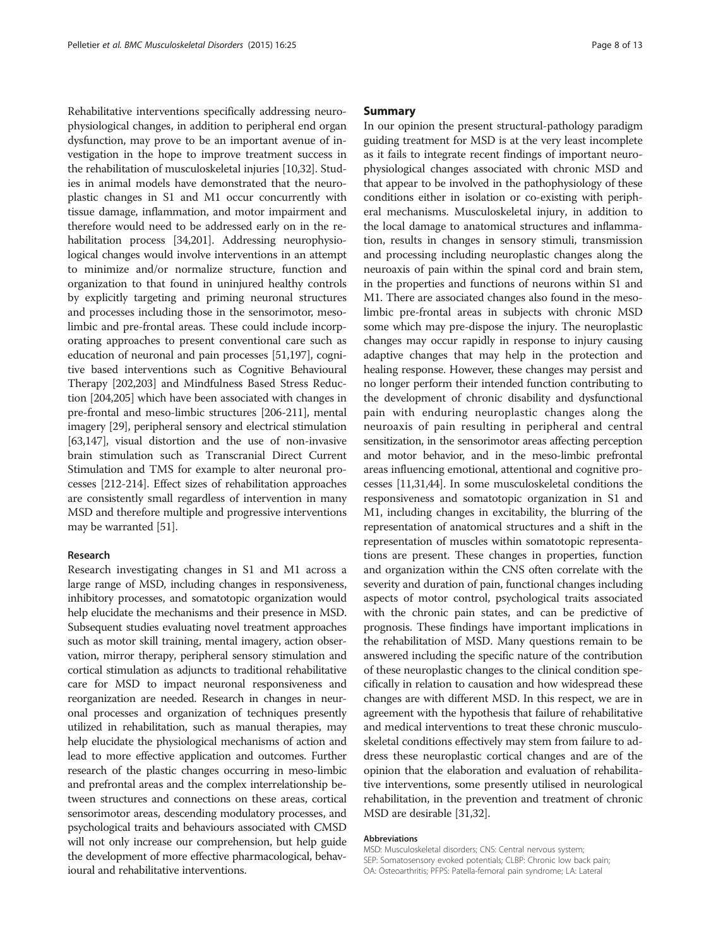Rehabilitative interventions specifically addressing neurophysiological changes, in addition to peripheral end organ dysfunction, may prove to be an important avenue of investigation in the hope to improve treatment success in the rehabilitation of musculoskeletal injuries [\[10,32\]](#page-8-0). Studies in animal models have demonstrated that the neuroplastic changes in S1 and M1 occur concurrently with tissue damage, inflammation, and motor impairment and therefore would need to be addressed early on in the rehabilitation process [\[34,](#page-8-0)[201](#page-12-0)]. Addressing neurophysiological changes would involve interventions in an attempt to minimize and/or normalize structure, function and organization to that found in uninjured healthy controls by explicitly targeting and priming neuronal structures and processes including those in the sensorimotor, mesolimbic and pre-frontal areas. These could include incorporating approaches to present conventional care such as education of neuronal and pain processes [[51](#page-9-0),[197](#page-12-0)], cognitive based interventions such as Cognitive Behavioural Therapy [\[202,203](#page-12-0)] and Mindfulness Based Stress Reduction [\[204,205](#page-12-0)] which have been associated with changes in pre-frontal and meso-limbic structures [[206](#page-12-0)-[211](#page-12-0)], mental imagery [\[29](#page-8-0)], peripheral sensory and electrical stimulation [[63](#page-9-0)[,147](#page-11-0)], visual distortion and the use of non-invasive brain stimulation such as Transcranial Direct Current Stimulation and TMS for example to alter neuronal processes [\[212-214\]](#page-12-0). Effect sizes of rehabilitation approaches are consistently small regardless of intervention in many MSD and therefore multiple and progressive interventions may be warranted [\[51\]](#page-9-0).

# Research

Research investigating changes in S1 and M1 across a large range of MSD, including changes in responsiveness, inhibitory processes, and somatotopic organization would help elucidate the mechanisms and their presence in MSD. Subsequent studies evaluating novel treatment approaches such as motor skill training, mental imagery, action observation, mirror therapy, peripheral sensory stimulation and cortical stimulation as adjuncts to traditional rehabilitative care for MSD to impact neuronal responsiveness and reorganization are needed. Research in changes in neuronal processes and organization of techniques presently utilized in rehabilitation, such as manual therapies, may help elucidate the physiological mechanisms of action and lead to more effective application and outcomes. Further research of the plastic changes occurring in meso-limbic and prefrontal areas and the complex interrelationship between structures and connections on these areas, cortical sensorimotor areas, descending modulatory processes, and psychological traits and behaviours associated with CMSD will not only increase our comprehension, but help guide the development of more effective pharmacological, behavioural and rehabilitative interventions.

#### Summary

In our opinion the present structural-pathology paradigm guiding treatment for MSD is at the very least incomplete as it fails to integrate recent findings of important neurophysiological changes associated with chronic MSD and that appear to be involved in the pathophysiology of these conditions either in isolation or co-existing with peripheral mechanisms. Musculoskeletal injury, in addition to the local damage to anatomical structures and inflammation, results in changes in sensory stimuli, transmission and processing including neuroplastic changes along the neuroaxis of pain within the spinal cord and brain stem, in the properties and functions of neurons within S1 and M1. There are associated changes also found in the mesolimbic pre-frontal areas in subjects with chronic MSD some which may pre-dispose the injury. The neuroplastic changes may occur rapidly in response to injury causing adaptive changes that may help in the protection and healing response. However, these changes may persist and no longer perform their intended function contributing to the development of chronic disability and dysfunctional pain with enduring neuroplastic changes along the neuroaxis of pain resulting in peripheral and central sensitization, in the sensorimotor areas affecting perception and motor behavior, and in the meso-limbic prefrontal areas influencing emotional, attentional and cognitive processes [\[11,31,](#page-8-0)[44](#page-9-0)]. In some musculoskeletal conditions the responsiveness and somatotopic organization in S1 and M1, including changes in excitability, the blurring of the representation of anatomical structures and a shift in the representation of muscles within somatotopic representations are present. These changes in properties, function and organization within the CNS often correlate with the severity and duration of pain, functional changes including aspects of motor control, psychological traits associated with the chronic pain states, and can be predictive of prognosis. These findings have important implications in the rehabilitation of MSD. Many questions remain to be answered including the specific nature of the contribution of these neuroplastic changes to the clinical condition specifically in relation to causation and how widespread these changes are with different MSD. In this respect, we are in agreement with the hypothesis that failure of rehabilitative and medical interventions to treat these chronic musculoskeletal conditions effectively may stem from failure to address these neuroplastic cortical changes and are of the opinion that the elaboration and evaluation of rehabilitative interventions, some presently utilised in neurological rehabilitation, in the prevention and treatment of chronic MSD are desirable [\[31,32\]](#page-8-0).

#### Abbreviations

MSD: Musculoskeletal disorders; CNS: Central nervous system; SEP: Somatosensory evoked potentials; CLBP: Chronic low back pain; OA: Osteoarthritis; PFPS: Patella-femoral pain syndrome; LA: Lateral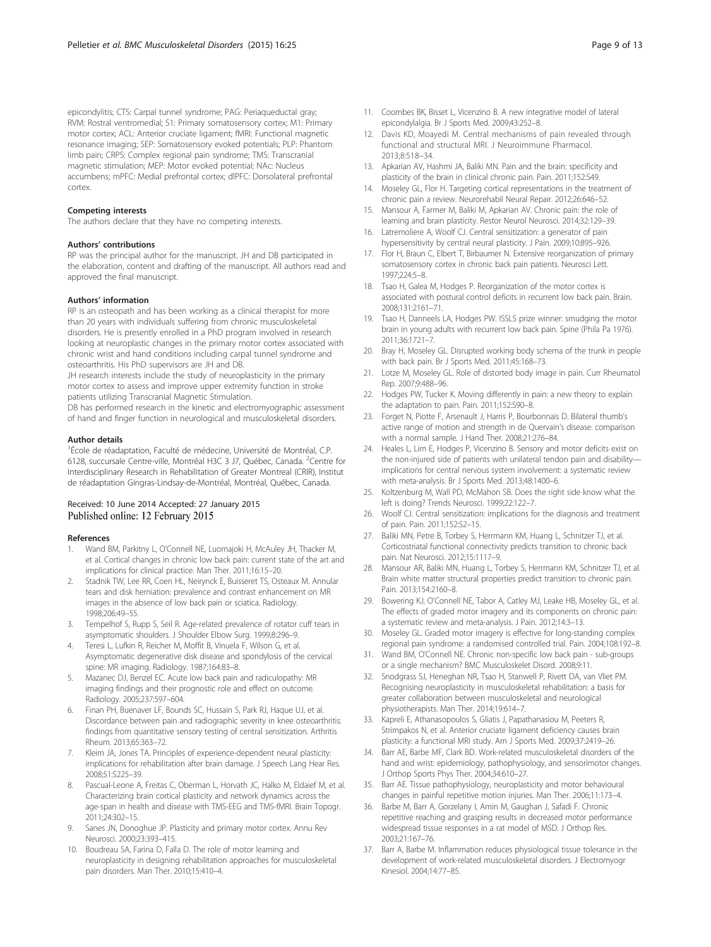<span id="page-8-0"></span>epicondylitis; CTS: Carpal tunnel syndrome; PAG: Periaqueductal gray; RVM: Rostral ventromedial; S1: Primary somatosensory cortex; M1: Primary motor cortex; ACL: Anterior cruciate ligament; fMRI: Functional magnetic resonance imaging; SEP: Somatosensory evoked potentials; PLP: Phantom limb pain; CRPS: Complex regional pain syndrome; TMS: Transcranial magnetic stimulation; MEP: Motor evoked potential; NAc: Nucleus accumbens; mPFC: Medial prefrontal cortex; dlPFC: Dorsolateral prefrontal cortex.

#### Competing interests

The authors declare that they have no competing interests.

#### Authors' contributions

RP was the principal author for the manuscript. JH and DB participated in the elaboration, content and drafting of the manuscript. All authors read and approved the final manuscript.

#### Authors' information

RP is an osteopath and has been working as a clinical therapist for more than 20 years with individuals suffering from chronic musculoskeletal disorders. He is presently enrolled in a PhD program involved in research looking at neuroplastic changes in the primary motor cortex associated with chronic wrist and hand conditions including carpal tunnel syndrome and osteoarthritis. His PhD supervisors are JH and DB.

JH research interests include the study of neuroplasticity in the primary motor cortex to assess and improve upper extremity function in stroke patients utilizing Transcranial Magnetic Stimulation.

DB has performed research in the kinetic and electromyographic assessment of hand and finger function in neurological and musculoskeletal disorders.

#### Author details

<sup>1</sup>École de réadaptation, Faculté de médecine, Université de Montréal, C.P. 6128, succursale Centre-ville, Montréal H3C 3 J7, Québec, Canada. <sup>2</sup>Centre for Interdisciplinary Research in Rehabilitation of Greater Montreal (CRIR), Institut de réadaptation Gingras-Lindsay-de-Montréal, Montréal, Québec, Canada.

#### Received: 10 June 2014 Accepted: 27 January 2015 Published online: 12 February 2015

#### References

- Wand BM, Parkitny L, O'Connell NE, Luomajoki H, McAuley JH, Thacker M, et al. Cortical changes in chronic low back pain: current state of the art and implications for clinical practice. Man Ther. 2011;16:15–20.
- 2. Stadnik TW, Lee RR, Coen HL, Neirynck E, Buisseret TS, Osteaux M. Annular tears and disk herniation: prevalence and contrast enhancement on MR images in the absence of low back pain or sciatica. Radiology. 1998;206:49–55.
- Tempelhof S, Rupp S, Seil R. Age-related prevalence of rotator cuff tears in asymptomatic shoulders. J Shoulder Elbow Surg. 1999;8:296–9.
- 4. Teresi L, Lufkin R, Reicher M, Moffit B, Vinuela F, Wilson G, et al. Asymptomatic degenerative disk disease and spondylosis of the cervical spine: MR imaging. Radiology. 1987;164:83–8.
- 5. Mazanec DJ, Benzel EC. Acute low back pain and radiculopathy: MR imaging findings and their prognostic role and effect on outcome. Radiology. 2005;237:597–604.
- 6. Finan PH, Buenaver LF, Bounds SC, Hussain S, Park RJ, Haque UJ, et al. Discordance between pain and radiographic severity in knee osteoarthritis: findings from quantitative sensory testing of central sensitization. Arthritis Rheum. 2013;65:363–72.
- 7. Kleim JA, Jones TA. Principles of experience-dependent neural plasticity: implications for rehabilitation after brain damage. J Speech Lang Hear Res. 2008;51:S225–39.
- 8. Pascual-Leone A, Freitas C, Oberman L, Horvath JC, Halko M, Eldaief M, et al. Characterizing brain cortical plasticity and network dynamics across the age-span in health and disease with TMS-EEG and TMS-fMRI. Brain Topogr. 2011;24:302–15.
- Sanes JN, Donoghue JP. Plasticity and primary motor cortex. Annu Rev Neurosci. 2000;23:393–415.
- 10. Boudreau SA, Farina D, Falla D. The role of motor learning and neuroplasticity in designing rehabilitation approaches for musculoskeletal pain disorders. Man Ther. 2010;15:410–4.
- epicondylalgia. Br J Sports Med. 2009;43:252–8. 12. Davis KD, Moayedi M. Central mechanisms of pain revealed through
- functional and structural MRI. J Neuroimmune Pharmacol. 2013;8:518–34.
- 13. Apkarian AV, Hashmi JA, Baliki MN. Pain and the brain: specificity and plasticity of the brain in clinical chronic pain. Pain. 2011;152:S49.
- 14. Moseley GL, Flor H. Targeting cortical representations in the treatment of chronic pain a review. Neurorehabil Neural Repair. 2012;26:646–52.
- 15. Mansour A, Farmer M, Baliki M, Apkarian AV. Chronic pain: the role of learning and brain plasticity. Restor Neurol Neurosci. 2014;32:129–39.
- 16. Latremoliere A, Woolf CJ. Central sensitization: a generator of pain hypersensitivity by central neural plasticity. J Pain. 2009;10:895–926.
- 17. Flor H, Braun C, Elbert T, Birbaumer N. Extensive reorganization of primary somatosensory cortex in chronic back pain patients. Neurosci Lett. 1997;224:5–8.
- 18. Tsao H, Galea M, Hodges P. Reorganization of the motor cortex is associated with postural control deficits in recurrent low back pain. Brain. 2008;131:2161–71.
- 19. Tsao H, Danneels LA, Hodges PW. ISSLS prize winner: smudging the motor brain in young adults with recurrent low back pain. Spine (Phila Pa 1976). 2011;36:1721–7.
- 20. Bray H, Moseley GL. Disrupted working body schema of the trunk in people with back pain. Br J Sports Med. 2011;45:168–73.
- 21. Lotze M, Moseley GL. Role of distorted body image in pain. Curr Rheumatol Rep. 2007;9:488–96.
- 22. Hodges PW, Tucker K. Moving differently in pain: a new theory to explain the adaptation to pain. Pain. 2011;152:S90–8.
- 23. Forget N, Piotte F, Arsenault J, Harris P, Bourbonnais D. Bilateral thumb's active range of motion and strength in de Quervain's disease: comparison with a normal sample. J Hand Ther. 2008;21:276–84.
- 24. Heales L, Lim E, Hodges P, Vicenzino B. Sensory and motor deficits exist on the non-injured side of patients with unilateral tendon pain and disability implications for central nervous system involvement: a systematic review with meta-analysis. Br J Sports Med. 2013;48:1400–6.
- 25. Koltzenburg M, Wall PD, McMahon SB. Does the right side know what the left is doing? Trends Neurosci. 1999;22:122–7.
- 26. Woolf CJ. Central sensitization: implications for the diagnosis and treatment of pain. Pain. 2011;152:S2–15.
- 27. Baliki MN, Petre B, Torbey S, Herrmann KM, Huang L, Schnitzer TJ, et al. Corticostriatal functional connectivity predicts transition to chronic back pain. Nat Neurosci. 2012;15:1117–9.
- 28. Mansour AR, Baliki MN, Huang L, Torbey S, Herrmann KM, Schnitzer TJ, et al. Brain white matter structural properties predict transition to chronic pain. Pain. 2013;154:2160–8.
- 29. Bowering KJ, O'Connell NE, Tabor A, Catley MJ, Leake HB, Moseley GL, et al. The effects of graded motor imagery and its components on chronic pain: a systematic review and meta-analysis. J Pain. 2012;14:3–13.
- 30. Moseley GL. Graded motor imagery is effective for long-standing complex regional pain syndrome: a randomised controlled trial. Pain. 2004;108:192–8.
- 31. Wand BM, O'Connell NE. Chronic non-specific low back pain sub-groups or a single mechanism? BMC Musculoskelet Disord. 2008;9:11.
- 32. Snodgrass SJ, Heneghan NR, Tsao H, Stanwell P, Rivett DA, van Vliet PM. Recognising neuroplasticity in musculoskeletal rehabilitation: a basis for greater collaboration between musculoskeletal and neurological physiotherapists. Man Ther. 2014;19:614–7.
- 33. Kapreli E, Athanasopoulos S, Gliatis J, Papathanasiou M, Peeters R, Strimpakos N, et al. Anterior cruciate ligament deficiency causes brain plasticity: a functional MRI study. Am J Sports Med. 2009;37:2419–26.
- 34. Barr AE, Barbe MF, Clark BD. Work-related musculoskeletal disorders of the hand and wrist: epidemiology, pathophysiology, and sensorimotor changes. J Orthop Sports Phys Ther. 2004;34:610–27.
- 35. Barr AE. Tissue pathophysiology, neuroplasticity and motor behavioural changes in painful repetitive motion injuries. Man Ther. 2006;11:173–4.
- 36. Barbe M, Barr A, Gorzelany I, Amin M, Gaughan J, Safadi F. Chronic repetitive reaching and grasping results in decreased motor performance widespread tissue responses in a rat model of MSD. J Orthop Res. 2003;21:167–76.
- 37. Barr A, Barbe M. Inflammation reduces physiological tissue tolerance in the development of work-related musculoskeletal disorders. J Electromyogr Kinesiol. 2004;14:77–85.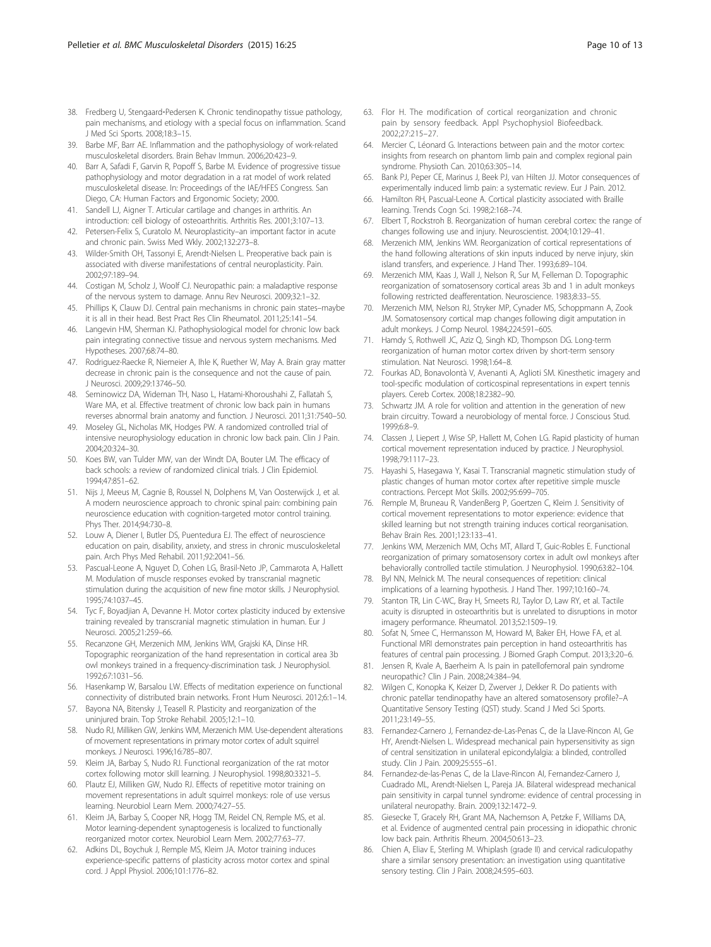- <span id="page-9-0"></span>38. Fredberg U, Stengaard-Pedersen K. Chronic tendinopathy tissue pathology, pain mechanisms, and etiology with a special focus on inflammation. Scand J Med Sci Sports. 2008;18:3–15.
- 39. Barbe MF, Barr AE. Inflammation and the pathophysiology of work-related musculoskeletal disorders. Brain Behav Immun. 2006;20:423–9.
- 40. Barr A, Safadi F, Garvin R, Popoff S, Barbe M. Evidence of progressive tissue pathophysiology and motor degradation in a rat model of work related musculoskeletal disease. In: Proceedings of the IAE/HFES Congress. San Diego, CA: Human Factors and Ergonomic Society; 2000.
- 41. Sandell LJ, Aigner T. Articular cartilage and changes in arthritis. An introduction: cell biology of osteoarthritis. Arthritis Res. 2001;3:107–13.
- 42. Petersen-Felix S, Curatolo M. Neuroplasticity–an important factor in acute and chronic pain. Swiss Med Wkly. 2002;132:273–8.
- 43. Wilder-Smith OH, Tassonyi E, Arendt-Nielsen L. Preoperative back pain is associated with diverse manifestations of central neuroplasticity. Pain. 2002;97:189–94.
- 44. Costigan M, Scholz J, Woolf CJ. Neuropathic pain: a maladaptive response of the nervous system to damage. Annu Rev Neurosci. 2009;32:1–32.
- 45. Phillips K, Clauw DJ. Central pain mechanisms in chronic pain states–maybe it is all in their head. Best Pract Res Clin Rheumatol. 2011;25:141–54.
- 46. Langevin HM, Sherman KJ. Pathophysiological model for chronic low back pain integrating connective tissue and nervous system mechanisms. Med Hypotheses. 2007;68:74–80.
- 47. Rodriguez-Raecke R, Niemeier A, Ihle K, Ruether W, May A. Brain gray matter decrease in chronic pain is the consequence and not the cause of pain. J Neurosci. 2009;29:13746–50.
- 48. Seminowicz DA, Wideman TH, Naso L, Hatami-Khoroushahi Z, Fallatah S, Ware MA, et al. Effective treatment of chronic low back pain in humans reverses abnormal brain anatomy and function. J Neurosci. 2011;31:7540–50.
- 49. Moseley GL, Nicholas MK, Hodges PW. A randomized controlled trial of intensive neurophysiology education in chronic low back pain. Clin J Pain. 2004;20:324–30.
- 50. Koes BW, van Tulder MW, van der Windt DA, Bouter LM. The efficacy of back schools: a review of randomized clinical trials. J Clin Epidemiol. 1994;47:851–62.
- 51. Nijs J, Meeus M, Cagnie B, Roussel N, Dolphens M, Van Oosterwijck J, et al. A modern neuroscience approach to chronic spinal pain: combining pain neuroscience education with cognition-targeted motor control training. Phys Ther. 2014;94:730–8.
- 52. Louw A, Diener I, Butler DS, Puentedura EJ. The effect of neuroscience education on pain, disability, anxiety, and stress in chronic musculoskeletal pain. Arch Phys Med Rehabil. 2011;92:2041–56.
- 53. Pascual-Leone A, Nguyet D, Cohen LG, Brasil-Neto JP, Cammarota A, Hallett M. Modulation of muscle responses evoked by transcranial magnetic stimulation during the acquisition of new fine motor skills. J Neurophysiol. 1995;74:1037–45.
- 54. Tyc F, Boyadjian A, Devanne H. Motor cortex plasticity induced by extensive training revealed by transcranial magnetic stimulation in human. Eur J Neurosci. 2005;21:259–66.
- Recanzone GH, Merzenich MM, Jenkins WM, Grajski KA, Dinse HR. Topographic reorganization of the hand representation in cortical area 3b owl monkeys trained in a frequency-discrimination task. J Neurophysiol. 1992;67:1031–56.
- 56. Hasenkamp W, Barsalou LW. Effects of meditation experience on functional connectivity of distributed brain networks. Front Hum Neurosci. 2012;6:1–14.
- 57. Bayona NA, Bitensky J, Teasell R. Plasticity and reorganization of the uninjured brain. Top Stroke Rehabil. 2005;12:1–10.
- 58. Nudo RJ, Milliken GW, Jenkins WM, Merzenich MM. Use-dependent alterations of movement representations in primary motor cortex of adult squirrel monkeys. J Neurosci. 1996;16:785–807.
- 59. Kleim JA, Barbay S, Nudo RJ. Functional reorganization of the rat motor cortex following motor skill learning. J Neurophysiol. 1998;80:3321–5.
- 60. Plautz EJ, Milliken GW, Nudo RJ. Effects of repetitive motor training on movement representations in adult squirrel monkeys: role of use versus learning. Neurobiol Learn Mem. 2000;74:27–55.
- 61. Kleim JA, Barbay S, Cooper NR, Hogg TM, Reidel CN, Remple MS, et al. Motor learning-dependent synaptogenesis is localized to functionally reorganized motor cortex. Neurobiol Learn Mem. 2002;77:63–77.
- 62. Adkins DL, Boychuk J, Remple MS, Kleim JA. Motor training induces experience-specific patterns of plasticity across motor cortex and spinal cord. J Appl Physiol. 2006;101:1776–82.
- 63. Flor H. The modification of cortical reorganization and chronic pain by sensory feedback. Appl Psychophysiol Biofeedback. 2002;27:215–27.
- 64. Mercier C, Léonard G. Interactions between pain and the motor cortex: insights from research on phantom limb pain and complex regional pain syndrome. Physioth Can. 2010;63:305–14.
- 65. Bank PJ, Peper CE, Marinus J, Beek PJ, van Hilten JJ. Motor consequences of experimentally induced limb pain: a systematic review. Eur J Pain. 2012.
- 66. Hamilton RH, Pascual-Leone A. Cortical plasticity associated with Braille learning. Trends Cogn Sci. 1998;2:168–74.
- 67. Elbert T, Rockstroh B. Reorganization of human cerebral cortex: the range of changes following use and injury. Neuroscientist. 2004;10:129–41.
- 68. Merzenich MM, Jenkins WM. Reorganization of cortical representations of the hand following alterations of skin inputs induced by nerve injury, skin island transfers, and experience. J Hand Ther. 1993;6:89–104.
- 69. Merzenich MM, Kaas J, Wall J, Nelson R, Sur M, Felleman D. Topographic reorganization of somatosensory cortical areas 3b and 1 in adult monkeys following restricted deafferentation. Neuroscience. 1983;8:33–55.
- 70. Merzenich MM, Nelson RJ, Stryker MP, Cynader MS, Schoppmann A, Zook JM. Somatosensory cortical map changes following digit amputation in adult monkeys. J Comp Neurol. 1984;224:591–605.
- 71. Hamdy S, Rothwell JC, Aziz Q, Singh KD, Thompson DG. Long-term reorganization of human motor cortex driven by short-term sensory stimulation. Nat Neurosci. 1998;1:64–8.
- 72. Fourkas AD, Bonavolontà V, Avenanti A, Aglioti SM. Kinesthetic imagery and tool-specific modulation of corticospinal representations in expert tennis players. Cereb Cortex. 2008;18:2382–90.
- 73. Schwartz JM. A role for volition and attention in the generation of new brain circuitry. Toward a neurobiology of mental force. J Conscious Stud. 1999;6:8–9.
- 74. Classen J, Liepert J, Wise SP, Hallett M, Cohen LG. Rapid plasticity of human cortical movement representation induced by practice. J Neurophysiol. 1998;79:1117–23.
- 75. Hayashi S, Hasegawa Y, Kasai T. Transcranial magnetic stimulation study of plastic changes of human motor cortex after repetitive simple muscle contractions. Percept Mot Skills. 2002;95:699–705.
- 76. Remple M, Bruneau R, VandenBerg P, Goertzen C, Kleim J. Sensitivity of cortical movement representations to motor experience: evidence that skilled learning but not strength training induces cortical reorganisation. Behav Brain Res. 2001;123:133–41.
- 77. Jenkins WM, Merzenich MM, Ochs MT, Allard T, Guic-Robles E. Functional reorganization of primary somatosensory cortex in adult owl monkeys after behaviorally controlled tactile stimulation. J Neurophysiol. 1990;63:82–104.
- 78. Byl NN, Melnick M. The neural consequences of repetition: clinical implications of a learning hypothesis. J Hand Ther. 1997;10:160–74.
- 79. Stanton TR, Lin C-WC, Bray H, Smeets RJ, Taylor D, Law RY, et al. Tactile acuity is disrupted in osteoarthritis but is unrelated to disruptions in motor imagery performance. Rheumatol. 2013;52:1509–19.
- 80. Sofat N, Smee C, Hermansson M, Howard M, Baker EH, Howe FA, et al. Functional MRI demonstrates pain perception in hand osteoarthritis has features of central pain processing. J Biomed Graph Comput. 2013;3:20–6.
- 81. Jensen R, Kvale A, Baerheim A. Is pain in patellofemoral pain syndrome neuropathic? Clin J Pain. 2008;24:384–94.
- 82. Wilgen C, Konopka K, Keizer D, Zwerver J, Dekker R. Do patients with chronic patellar tendinopathy have an altered somatosensory profile?–A Quantitative Sensory Testing (QST) study. Scand J Med Sci Sports. 2011;23:149–55.
- 83. Fernandez-Carnero J, Fernandez-de-Las-Penas C, de la Llave-Rincon AI, Ge HY, Arendt-Nielsen L. Widespread mechanical pain hypersensitivity as sign of central sensitization in unilateral epicondylalgia: a blinded, controlled study. Clin J Pain. 2009;25:555–61.
- 84. Fernandez-de-las-Penas C, de la Llave-Rincon AI, Fernandez-Carnero J, Cuadrado ML, Arendt-Nielsen L, Pareja JA. Bilateral widespread mechanical pain sensitivity in carpal tunnel syndrome: evidence of central processing in unilateral neuropathy. Brain. 2009;132:1472–9.
- 85. Giesecke T, Gracely RH, Grant MA, Nachemson A, Petzke F, Williams DA, et al. Evidence of augmented central pain processing in idiopathic chronic low back pain. Arthritis Rheum. 2004;50:613–23.
- 86. Chien A, Eliav E, Sterling M. Whiplash (grade II) and cervical radiculopathy share a similar sensory presentation: an investigation using quantitative sensory testing. Clin J Pain. 2008;24:595–603.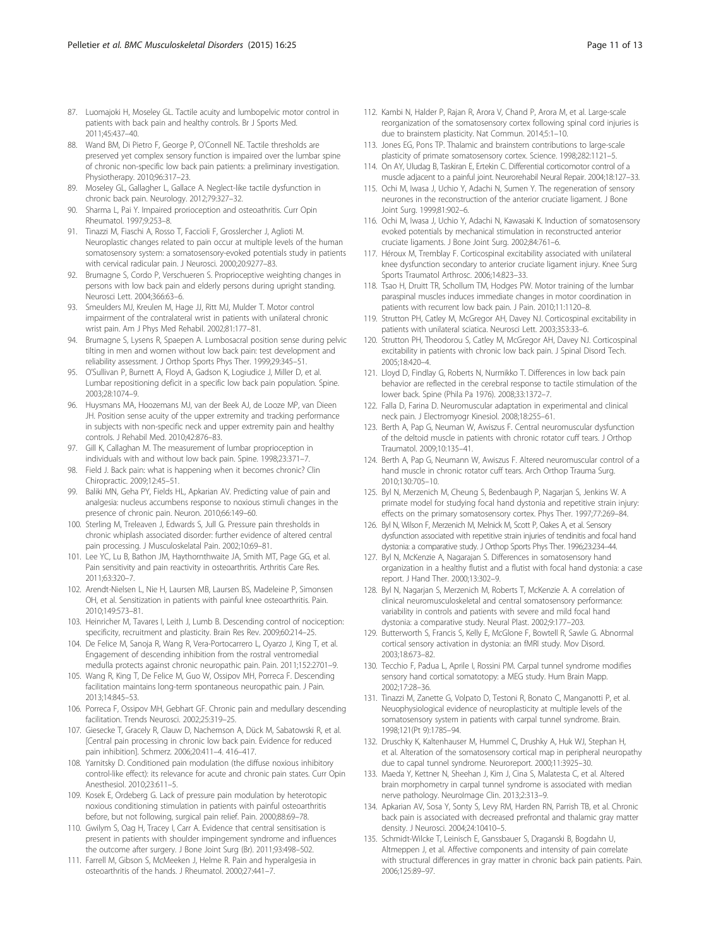- <span id="page-10-0"></span>87. Luomajoki H, Moseley GL. Tactile acuity and lumbopelvic motor control in patients with back pain and healthy controls. Br J Sports Med. 2011;45:437–40.
- 88. Wand BM, Di Pietro F, George P, O'Connell NE. Tactile thresholds are preserved yet complex sensory function is impaired over the lumbar spine of chronic non-specific low back pain patients: a preliminary investigation. Physiotherapy. 2010;96:317–23.
- 89. Moseley GL, Gallagher L, Gallace A. Neglect-like tactile dysfunction in chronic back pain. Neurology. 2012;79:327–32.
- 90. Sharma L, Pai Y. Impaired prorioception and osteoathritis. Curr Opin Rheumatol. 1997;9:253–8.
- 91. Tinazzi M, Fiaschi A, Rosso T, Faccioli F, Grosslercher J, Aglioti M. Neuroplastic changes related to pain occur at multiple levels of the human somatosensory system: a somatosensory-evoked potentials study in patients with cervical radicular pain. J Neurosci. 2000;20:9277–83.
- 92. Brumagne S, Cordo P, Verschueren S. Proprioceptive weighting changes in persons with low back pain and elderly persons during upright standing. Neurosci Lett. 2004;366:63–6.
- 93. Smeulders MJ, Kreulen M, Hage JJ, Ritt MJ, Mulder T. Motor control impairment of the contralateral wrist in patients with unilateral chronic wrist pain. Am J Phys Med Rehabil. 2002;81:177–81.
- 94. Brumagne S, Lysens R, Spaepen A. Lumbosacral position sense during pelvic tilting in men and women without low back pain: test development and reliability assessment. J Orthop Sports Phys Ther. 1999;29:345–51.
- 95. O'Sullivan P, Burnett A, Floyd A, Gadson K, Logiudice J, Miller D, et al. Lumbar repositioning deficit in a specific low back pain population. Spine. 2003;28:1074–9.
- 96. Huysmans MA, Hoozemans MJ, van der Beek AJ, de Looze MP, van Dieen JH. Position sense acuity of the upper extremity and tracking performance in subjects with non-specific neck and upper extremity pain and healthy controls. J Rehabil Med. 2010;42:876–83.
- 97. Gill K, Callaghan M. The measurement of lumbar proprioception in individuals with and without low back pain. Spine. 1998;23:371–7.
- 98. Field J. Back pain: what is happening when it becomes chronic? Clin Chiropractic. 2009;12:45–51.
- 99. Baliki MN, Geha PY, Fields HL, Apkarian AV. Predicting value of pain and analgesia: nucleus accumbens response to noxious stimuli changes in the presence of chronic pain. Neuron. 2010;66:149–60.
- 100. Sterling M, Treleaven J, Edwards S, Jull G. Pressure pain thresholds in chronic whiplash associated disorder: further evidence of altered central pain processing. J Musculoskelatal Pain. 2002;10:69–81.
- 101. Lee YC, Lu B, Bathon JM, Haythornthwaite JA, Smith MT, Page GG, et al. Pain sensitivity and pain reactivity in osteoarthritis. Arthritis Care Res. 2011;63:320–7.
- 102. Arendt-Nielsen L, Nie H, Laursen MB, Laursen BS, Madeleine P, Simonsen OH, et al. Sensitization in patients with painful knee osteoarthritis. Pain. 2010;149:573–81.
- 103. Heinricher M, Tavares I, Leith J, Lumb B. Descending control of nociception: specificity, recruitment and plasticity. Brain Res Rev. 2009;60:214–25.
- 104. De Felice M, Sanoja R, Wang R, Vera-Portocarrero L, Oyarzo J, King T, et al. Engagement of descending inhibition from the rostral ventromedial medulla protects against chronic neuropathic pain. Pain. 2011;152:2701–9.
- 105. Wang R, King T, De Felice M, Guo W, Ossipov MH, Porreca F. Descending facilitation maintains long-term spontaneous neuropathic pain. J Pain. 2013;14:845–53.
- 106. Porreca F, Ossipov MH, Gebhart GF. Chronic pain and medullary descending facilitation. Trends Neurosci. 2002;25:319–25.
- 107. Giesecke T, Gracely R, Clauw D, Nachemson A, Dück M, Sabatowski R, et al. [Central pain processing in chronic low back pain. Evidence for reduced pain inhibition]. Schmerz. 2006;20:411–4. 416–417.
- 108. Yarnitsky D. Conditioned pain modulation (the diffuse noxious inhibitory control-like effect): its relevance for acute and chronic pain states. Curr Opin Anesthesiol. 2010;23:611–5.
- 109. Kosek E, Ordeberg G. Lack of pressure pain modulation by heterotopic noxious conditioning stimulation in patients with painful osteoarthritis before, but not following, surgical pain relief. Pain. 2000;88:69–78.
- 110. Gwilym S, Oag H, Tracey I, Carr A. Evidence that central sensitisation is present in patients with shoulder impingement syndrome and influences the outcome after surgery. J Bone Joint Surg (Br). 2011;93:498–502.
- 111. Farrell M, Gibson S, McMeeken J, Helme R. Pain and hyperalgesia in osteoarthritis of the hands. J Rheumatol. 2000;27:441–7.
- 112. Kambi N, Halder P, Rajan R, Arora V, Chand P, Arora M, et al. Large-scale reorganization of the somatosensory cortex following spinal cord injuries is due to brainstem plasticity. Nat Commun. 2014;5:1–10.
- 113. Jones EG, Pons TP. Thalamic and brainstem contributions to large-scale plasticity of primate somatosensory cortex. Science. 1998;282:1121–5.
- 114. On AY, Uludag B, Taskiran E, Ertekin C. Differential corticomotor control of a muscle adjacent to a painful joint. Neurorehabil Neural Repair. 2004;18:127–33.
- 115. Ochi M, Iwasa J, Uchio Y, Adachi N, Sumen Y. The regeneration of sensory neurones in the reconstruction of the anterior cruciate ligament. J Bone Joint Surg. 1999;81:902–6.
- 116. Ochi M, Iwasa J, Uchio Y, Adachi N, Kawasaki K. Induction of somatosensory evoked potentials by mechanical stimulation in reconstructed anterior cruciate ligaments. J Bone Joint Surg. 2002;84:761–6.
- 117. Héroux M, Tremblay F. Corticospinal excitability associated with unilateral knee dysfunction secondary to anterior cruciate ligament injury. Knee Surg Sports Traumatol Arthrosc. 2006;14:823–33.
- 118. Tsao H, Druitt TR, Schollum TM, Hodges PW. Motor training of the lumbar paraspinal muscles induces immediate changes in motor coordination in patients with recurrent low back pain. J Pain. 2010;11:1120–8.
- 119. Strutton PH, Catley M, McGregor AH, Davey NJ. Corticospinal excitability in patients with unilateral sciatica. Neurosci Lett. 2003;353:33–6.
- 120. Strutton PH, Theodorou S, Catley M, McGregor AH, Davey NJ. Corticospinal excitability in patients with chronic low back pain. J Spinal Disord Tech. 2005;18:420–4.
- 121. Lloyd D, Findlay G, Roberts N, Nurmikko T. Differences in low back pain behavior are reflected in the cerebral response to tactile stimulation of the lower back. Spine (Phila Pa 1976). 2008;33:1372–7.
- 122. Falla D, Farina D. Neuromuscular adaptation in experimental and clinical neck pain. J Electromyogr Kinesiol. 2008;18:255–61.
- 123. Berth A, Pap G, Neuman W, Awiszus F. Central neuromuscular dysfunction of the deltoid muscle in patients with chronic rotator cuff tears. J Orthop Traumatol. 2009;10:135–41.
- 124. Berth A, Pap G, Neumann W, Awiszus F. Altered neuromuscular control of a hand muscle in chronic rotator cuff tears. Arch Orthop Trauma Surg. 2010;130:705–10.
- 125. Byl N, Merzenich M, Cheung S, Bedenbaugh P, Nagarjan S, Jenkins W. A primate model for studying focal hand dystonia and repetitive strain injury: effects on the primary somatosensory cortex. Phys Ther. 1997;77:269–84.
- 126. Byl N, Wilson F, Merzenich M, Melnick M, Scott P, Oakes A, et al. Sensory dysfunction associated with repetitive strain injuries of tendinitis and focal hand dystonia: a comparative study. J Orthop Sports Phys Ther. 1996;23:234–44.
- 127. Byl N, McKenzie A, Nagarajan S. Differences in somatosensory hand organization in a healthy flutist and a flutist with focal hand dystonia: a case report. J Hand Ther. 2000;13:302–9.
- 128. Byl N, Nagarjan S, Merzenich M, Roberts T, McKenzie A. A correlation of clinical neuromusculoskeletal and central somatosensory performance: variability in controls and patients with severe and mild focal hand dystonia: a comparative study. Neural Plast. 2002;9:177–203.
- 129. Butterworth S, Francis S, Kelly E, McGlone F, Bowtell R, Sawle G. Abnormal cortical sensory activation in dystonia: an fMRI study. Mov Disord. 2003;18:673–82.
- 130. Tecchio F, Padua L, Aprile I, Rossini PM. Carpal tunnel syndrome modifies sensory hand cortical somatotopy: a MEG study. Hum Brain Mapp. 2002;17:28–36.
- 131. Tinazzi M, Zanette G, Volpato D, Testoni R, Bonato C, Manganotti P, et al. Neuophysiological evidence of neuroplasticity at multiple levels of the somatosensory system in patients with carpal tunnel syndrome. Brain. 1998;121(Pt 9):1785–94.
- 132. Druschky K, Kaltenhauser M, Hummel C, Drushky A, Huk WJ, Stephan H, et al. Alteration of the somatosensory cortical map in peripheral neuropathy due to capal tunnel syndrome. Neuroreport. 2000;11:3925–30.
- 133. Maeda Y, Kettner N, Sheehan J, Kim J, Cina S, Malatesta C, et al. Altered brain morphometry in carpal tunnel syndrome is associated with median nerve pathology. NeuroImage Clin. 2013;2:313–9.
- 134. Apkarian AV, Sosa Y, Sonty S, Levy RM, Harden RN, Parrish TB, et al. Chronic back pain is associated with decreased prefrontal and thalamic gray matter density. J Neurosci. 2004;24:10410–5.
- 135. Schmidt-Wilcke T, Leinisch E, Ganssbauer S, Draganski B, Bogdahn U, Altmeppen J, et al. Affective components and intensity of pain correlate with structural differences in gray matter in chronic back pain patients. Pain. 2006;125:89–97.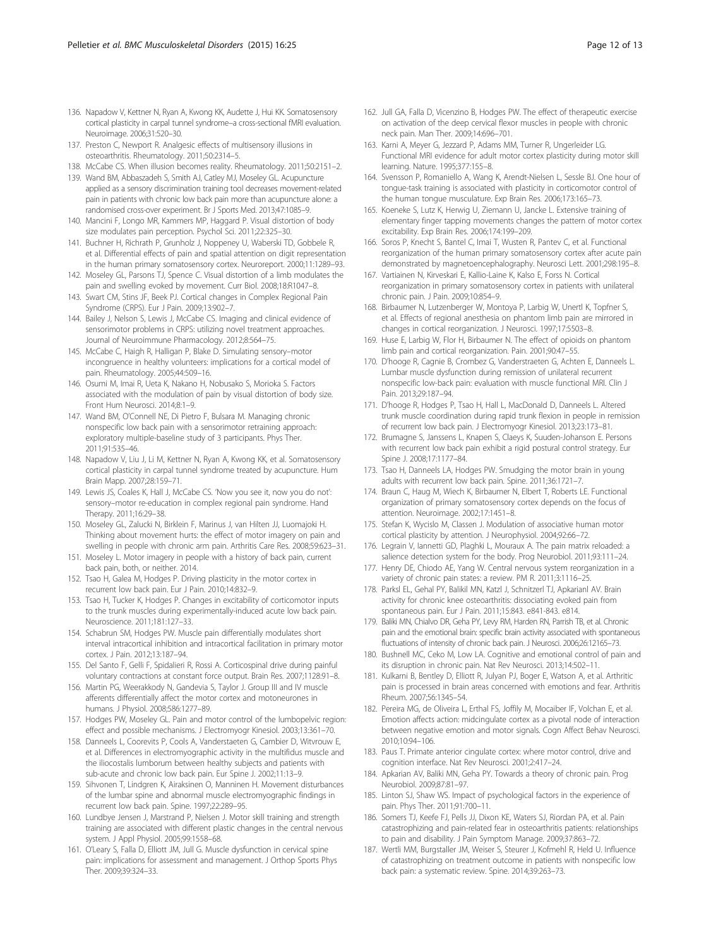- <span id="page-11-0"></span>136. Napadow V, Kettner N, Ryan A, Kwong KK, Audette J, Hui KK. Somatosensory cortical plasticity in carpal tunnel syndrome–a cross-sectional fMRI evaluation. Neuroimage. 2006;31:520–30.
- 137. Preston C, Newport R. Analgesic effects of multisensory illusions in osteoarthritis. Rheumatology. 2011;50:2314–5.
- 138. McCabe CS. When illusion becomes reality. Rheumatology. 2011;50:2151–2.
- 139. Wand BM, Abbaszadeh S, Smith AJ, Catley MJ, Moseley GL. Acupuncture applied as a sensory discrimination training tool decreases movement-related pain in patients with chronic low back pain more than acupuncture alone: a randomised cross-over experiment. Br J Sports Med. 2013;47:1085–9.
- 140. Mancini F, Longo MR, Kammers MP, Haggard P. Visual distortion of body size modulates pain perception. Psychol Sci. 2011;22:325–30.
- 141. Buchner H, Richrath P, Grunholz J, Noppeney U, Waberski TD, Gobbele R, et al. Differential effects of pain and spatial attention on digit representation in the human primary somatosensory cortex. Neuroreport. 2000;11:1289–93.
- 142. Moseley GL, Parsons TJ, Spence C. Visual distortion of a limb modulates the pain and swelling evoked by movement. Curr Biol. 2008;18:R1047–8.
- 143. Swart CM, Stins JF, Beek PJ. Cortical changes in Complex Regional Pain Syndrome (CRPS). Eur J Pain. 2009;13:902–7.
- 144. Bailey J, Nelson S, Lewis J, McCabe CS. Imaging and clinical evidence of sensorimotor problems in CRPS: utilizing novel treatment approaches. Journal of Neuroimmune Pharmacology. 2012;8:564–75.
- 145. McCabe C, Haigh R, Halligan P, Blake D. Simulating sensory–motor incongruence in healthy volunteers: implications for a cortical model of pain. Rheumatology. 2005;44:509–16.
- 146. Osumi M, Imai R, Ueta K, Nakano H, Nobusako S, Morioka S. Factors associated with the modulation of pain by visual distortion of body size. Front Hum Neurosci. 2014;8:1–9.
- 147. Wand BM, O'Connell NE, Di Pietro F, Bulsara M. Managing chronic nonspecific low back pain with a sensorimotor retraining approach: exploratory multiple-baseline study of 3 participants. Phys Ther. 2011;91:535–46.
- 148. Napadow V, Liu J, Li M, Kettner N, Ryan A, Kwong KK, et al. Somatosensory cortical plasticity in carpal tunnel syndrome treated by acupuncture. Hum Brain Mapp. 2007;28:159–71.
- 149. Lewis JS, Coales K, Hall J, McCabe CS. 'Now you see it, now you do not': sensory–motor re-education in complex regional pain syndrome. Hand Therapy. 2011;16:29–38.
- 150. Moseley GL, Zalucki N, Birklein F, Marinus J, van Hilten JJ, Luomajoki H. Thinking about movement hurts: the effect of motor imagery on pain and swelling in people with chronic arm pain. Arthritis Care Res. 2008;59:623–31.
- 151. Moseley L. Motor imagery in people with a history of back pain, current back pain, both, or neither. 2014.
- 152. Tsao H, Galea M, Hodges P. Driving plasticity in the motor cortex in recurrent low back pain. Eur J Pain. 2010;14:832–9.
- 153. Tsao H, Tucker K, Hodges P. Changes in excitability of corticomotor inputs to the trunk muscles during experimentally-induced acute low back pain. Neuroscience. 2011;181:127–33.
- 154. Schabrun SM, Hodges PW. Muscle pain differentially modulates short interval intracortical inhibition and intracortical facilitation in primary motor cortex. J Pain. 2012;13:187–94.
- 155. Del Santo F, Gelli F, Spidalieri R, Rossi A. Corticospinal drive during painful voluntary contractions at constant force output. Brain Res. 2007;1128:91–8.
- 156. Martin PG, Weerakkody N, Gandevia S, Taylor J. Group III and IV muscle afferents differentially affect the motor cortex and motoneurones in humans. J Physiol. 2008;586:1277–89.
- 157. Hodges PW, Moseley GL. Pain and motor control of the lumbopelvic region: effect and possible mechanisms. J Electromyogr Kinesiol. 2003;13:361–70.
- 158. Danneels L, Coorevits P, Cools A, Vanderstaeten G, Cambier D, Witvrouw E, et al. Differences in electromyographic activity in the multifidus muscle and the iliocostalis lumborum between healthy subjects and patients with sub-acute and chronic low back pain. Eur Spine J. 2002;11:13–9.
- 159. Sihvonen T, Lindgren K, Airaksinen O, Manninen H. Movement disturbances of the lumbar spine and abnormal muscle electromyographic findings in recurrent low back pain. Spine. 1997;22:289–95.
- 160. Lundbye Jensen J, Marstrand P, Nielsen J. Motor skill training and strength training are associated with different plastic changes in the central nervous system. J Appl Physiol. 2005;99:1558–68.
- 161. O'Leary S, Falla D, Elliott JM, Jull G. Muscle dysfunction in cervical spine pain: implications for assessment and management. J Orthop Sports Phys Ther. 2009;39:324–33.
- 162. Jull GA, Falla D, Vicenzino B, Hodges PW. The effect of therapeutic exercise on activation of the deep cervical flexor muscles in people with chronic neck pain. Man Ther. 2009;14:696–701.
- 163. Karni A, Meyer G, Jezzard P, Adams MM, Turner R, Ungerleider LG. Functional MRI evidence for adult motor cortex plasticity during motor skill learning. Nature. 1995;377:155–8.
- 164. Svensson P, Romaniello A, Wang K, Arendt-Nielsen L, Sessle BJ. One hour of tongue-task training is associated with plasticity in corticomotor control of the human tongue musculature. Exp Brain Res. 2006;173:165–73.
- 165. Koeneke S, Lutz K, Herwig U, Ziemann U, Jancke L. Extensive training of elementary finger tapping movements changes the pattern of motor cortex excitability. Exp Brain Res. 2006;174:199–209.
- 166. Soros P, Knecht S, Bantel C, Imai T, Wusten R, Pantev C, et al. Functional reorganization of the human primary somatosensory cortex after acute pain demonstrated by magnetoencephalography. Neurosci Lett. 2001;298:195–8.
- 167. Vartiainen N, Kirveskari E, Kallio-Laine K, Kalso E, Forss N. Cortical reorganization in primary somatosensory cortex in patients with unilateral chronic pain. J Pain. 2009;10:854–9.
- 168. Birbaumer N, Lutzenberger W, Montoya P, Larbig W, Unertl K, Topfner S, et al. Effects of regional anesthesia on phantom limb pain are mirrored in changes in cortical reorganization. J Neurosci. 1997;17:5503–8.
- 169. Huse E, Larbig W, Flor H, Birbaumer N. The effect of opioids on phantom limb pain and cortical reorganization. Pain. 2001;90:47–55.
- 170. D'hooge R, Cagnie B, Crombez G, Vanderstraeten G, Achten E, Danneels L. Lumbar muscle dysfunction during remission of unilateral recurrent nonspecific low-back pain: evaluation with muscle functional MRI. Clin J Pain. 2013;29:187–94.
- 171. D'hooge R, Hodges P, Tsao H, Hall L, MacDonald D, Danneels L. Altered trunk muscle coordination during rapid trunk flexion in people in remission of recurrent low back pain. J Electromyogr Kinesiol. 2013;23:173–81.
- 172. Brumagne S, Janssens L, Knapen S, Claeys K, Suuden-Johanson E. Persons with recurrent low back pain exhibit a rigid postural control strategy. Eur Spine J. 2008;17:1177–84.
- 173. Tsao H, Danneels LA, Hodges PW. Smudging the motor brain in young adults with recurrent low back pain. Spine. 2011:36:1721-7.
- 174. Braun C, Haug M, Wiech K, Birbaumer N, Elbert T, Roberts LE. Functional organization of primary somatosensory cortex depends on the focus of attention. Neuroimage. 2002;17:1451–8.
- 175. Stefan K, Wycislo M, Classen J. Modulation of associative human motor cortical plasticity by attention. J Neurophysiol. 2004;92:66–72.
- 176. Legrain V, Iannetti GD, Plaghki L, Mouraux A. The pain matrix reloaded: a salience detection system for the body. Prog Neurobiol. 2011;93:111–24.
- 177. Henry DE, Chiodo AE, Yang W. Central nervous system reorganization in a variety of chronic pain states: a review. PM R. 2011;3:1116–25.
- 178. Parksl EL, Gehal PY, Balikil MN, Katzl J, Schnitzerl TJ, Apkarianl AV. Brain activity for chronic knee osteoarthritis: dissociating evoked pain from spontaneous pain. Eur J Pain. 2011;15:843. e841-843. e814.
- 179. Baliki MN, Chialvo DR, Geha PY, Levy RM, Harden RN, Parrish TB, et al. Chronic pain and the emotional brain: specific brain activity associated with spontaneous fluctuations of intensity of chronic back pain. J Neurosci. 2006;26:12165–73.
- 180. Bushnell MC, Ceko M, Low LA. Cognitive and emotional control of pain and its disruption in chronic pain. Nat Rev Neurosci. 2013;14:502–11.
- 181. Kulkarni B, Bentley D, Elliott R, Julyan PJ, Boger E, Watson A, et al. Arthritic pain is processed in brain areas concerned with emotions and fear. Arthritis Rheum. 2007;56:1345–54.
- 182. Pereira MG, de Oliveira L, Erthal FS, Joffily M, Mocaiber IF, Volchan E, et al. Emotion affects action: midcingulate cortex as a pivotal node of interaction between negative emotion and motor signals. Cogn Affect Behav Neurosci. 2010;10:94–106.
- 183. Paus T. Primate anterior cingulate cortex: where motor control, drive and cognition interface. Nat Rev Neurosci. 2001;2:417–24.
- 184. Apkarian AV, Baliki MN, Geha PY. Towards a theory of chronic pain. Prog Neurobiol. 2009;87:81–97.
- 185. Linton SJ, Shaw WS. Impact of psychological factors in the experience of pain. Phys Ther. 2011;91:700–11.
- 186. Somers TJ, Keefe FJ, Pells JJ, Dixon KE, Waters SJ, Riordan PA, et al. Pain catastrophizing and pain-related fear in osteoarthritis patients: relationships to pain and disability. J Pain Symptom Manage. 2009;37:863–72.
- 187. Wertli MM, Burgstaller JM, Weiser S, Steurer J, Kofmehl R, Held U. Influence of catastrophizing on treatment outcome in patients with nonspecific low back pain: a systematic review. Spine. 2014;39:263–73.